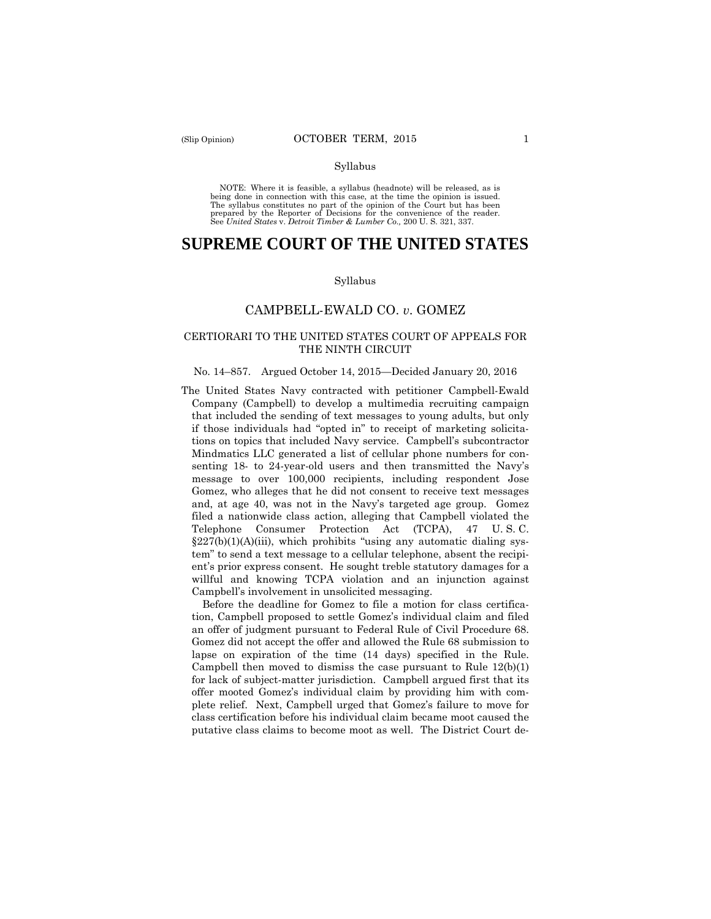#### Syllabus

 NOTE: Where it is feasible, a syllabus (headnote) will be released, as is being done in connection with this case, at the time the opinion is issued. The syllabus constitutes no part of the opinion of the Court but has been<br>prepared by the Reporter of Decisions for the convenience of the reader.<br>See United States v. Detroit Timber & Lumber Co., 200 U. S. 321, 337.

# **SUPREME COURT OF THE UNITED STATES**

#### Syllabus

# CAMPBELL-EWALD CO. *v*. GOMEZ

# CERTIORARI TO THE UNITED STATES COURT OF APPEALS FOR THE NINTH CIRCUIT

#### No. 14–857. Argued October 14, 2015—Decided January 20, 2016

 ent's prior express consent. He sought treble statutory damages for a The United States Navy contracted with petitioner Campbell-Ewald Company (Campbell) to develop a multimedia recruiting campaign that included the sending of text messages to young adults, but only if those individuals had "opted in" to receipt of marketing solicitations on topics that included Navy service. Campbell's subcontractor Mindmatics LLC generated a list of cellular phone numbers for consenting 18- to 24-year-old users and then transmitted the Navy's message to over 100,000 recipients, including respondent Jose Gomez, who alleges that he did not consent to receive text messages and, at age 40, was not in the Navy's targeted age group. Gomez filed a nationwide class action, alleging that Campbell violated the Telephone Consumer Protection Act (TCPA), 47 U. S. C.  $\S227(b)(1)(A)(iii)$ , which prohibits "using any automatic dialing system" to send a text message to a cellular telephone, absent the recipiwillful and knowing TCPA violation and an injunction against Campbell's involvement in unsolicited messaging.

Before the deadline for Gomez to file a motion for class certification, Campbell proposed to settle Gomez's individual claim and filed an offer of judgment pursuant to Federal Rule of Civil Procedure 68. Gomez did not accept the offer and allowed the Rule 68 submission to lapse on expiration of the time (14 days) specified in the Rule. Campbell then moved to dismiss the case pursuant to Rule  $12(b)(1)$ for lack of subject-matter jurisdiction. Campbell argued first that its offer mooted Gomez's individual claim by providing him with complete relief. Next, Campbell urged that Gomez's failure to move for class certification before his individual claim became moot caused the putative class claims to become moot as well. The District Court de-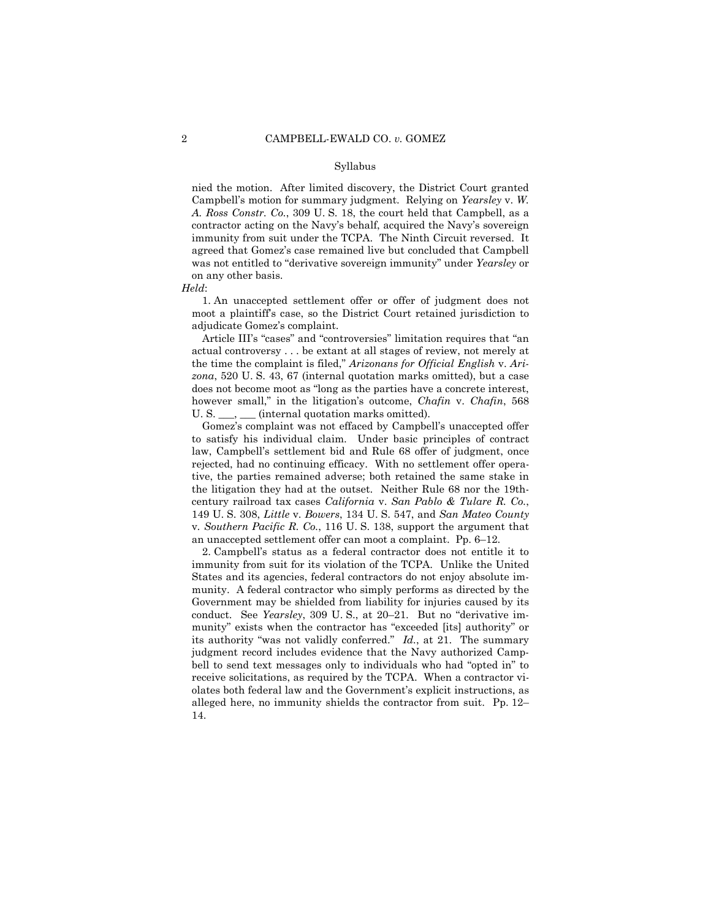#### Syllabus

nied the motion. After limited discovery, the District Court granted Campbell's motion for summary judgment. Relying on *Yearsley* v. *W. A. Ross Constr. Co.*, 309 U. S. 18, the court held that Campbell, as a contractor acting on the Navy's behalf, acquired the Navy's sovereign immunity from suit under the TCPA. The Ninth Circuit reversed. It agreed that Gomez's case remained live but concluded that Campbell was not entitled to "derivative sovereign immunity" under *Yearsley* or on any other basis.

1. An unaccepted settlement offer or offer of judgment does not moot a plaintiff's case, so the District Court retained jurisdiction to adjudicate Gomez's complaint.

Article III's "cases" and "controversies" limitation requires that "an actual controversy . . . be extant at all stages of review, not merely at the time the complaint is filed," *Arizonans for Official English* v. *Arizona*, 520 U. S. 43, 67 (internal quotation marks omitted), but a case does not become moot as "long as the parties have a concrete interest, however small," in the litigation's outcome, *Chafin* v. *Chafin*, 568 U. S. \_\_\_, \_\_\_ (internal quotation marks omitted).

 to satisfy his individual claim. Under basic principles of contract Gomez's complaint was not effaced by Campbell's unaccepted offer law, Campbell's settlement bid and Rule 68 offer of judgment, once rejected, had no continuing efficacy. With no settlement offer operative, the parties remained adverse; both retained the same stake in the litigation they had at the outset. Neither Rule 68 nor the 19thcentury railroad tax cases *California* v. *San Pablo & Tulare R. Co.*, 149 U. S. 308, *Little* v. *Bowers*, 134 U. S. 547, and *San Mateo County*  v*. Southern Pacific R. Co.*, 116 U. S. 138, support the argument that an unaccepted settlement offer can moot a complaint. Pp. 6–12.

 its authority "was not validly conferred." *Id.*, at 21. The summary 2. Campbell's status as a federal contractor does not entitle it to immunity from suit for its violation of the TCPA. Unlike the United States and its agencies, federal contractors do not enjoy absolute immunity. A federal contractor who simply performs as directed by the Government may be shielded from liability for injuries caused by its conduct. See *Yearsley*, 309 U. S., at 20–21. But no "derivative immunity" exists when the contractor has "exceeded [its] authority" or judgment record includes evidence that the Navy authorized Campbell to send text messages only to individuals who had "opted in" to receive solicitations, as required by the TCPA. When a contractor violates both federal law and the Government's explicit instructions, as alleged here, no immunity shields the contractor from suit. Pp. 12– 14.

*Held*: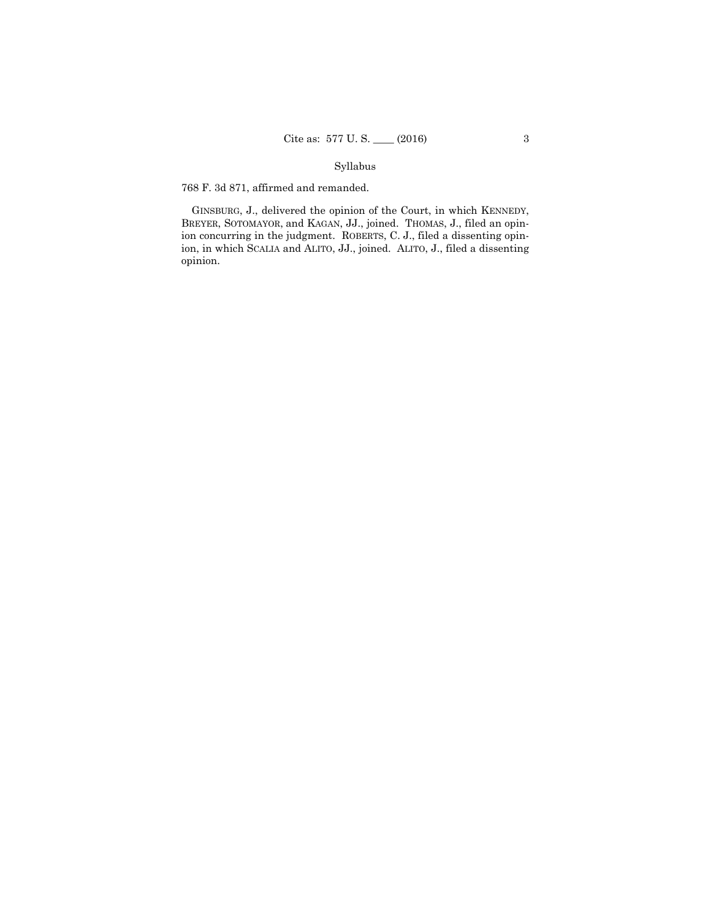# Syllabus

768 F. 3d 871, affirmed and remanded.

GINSBURG, J., delivered the opinion of the Court, in which KENNEDY, BREYER, SOTOMAYOR, and KAGAN, JJ., joined. THOMAS, J., filed an opinion concurring in the judgment. ROBERTS, C. J., filed a dissenting opinion, in which SCALIA and ALITO, JJ., joined. ALITO, J., filed a dissenting opinion.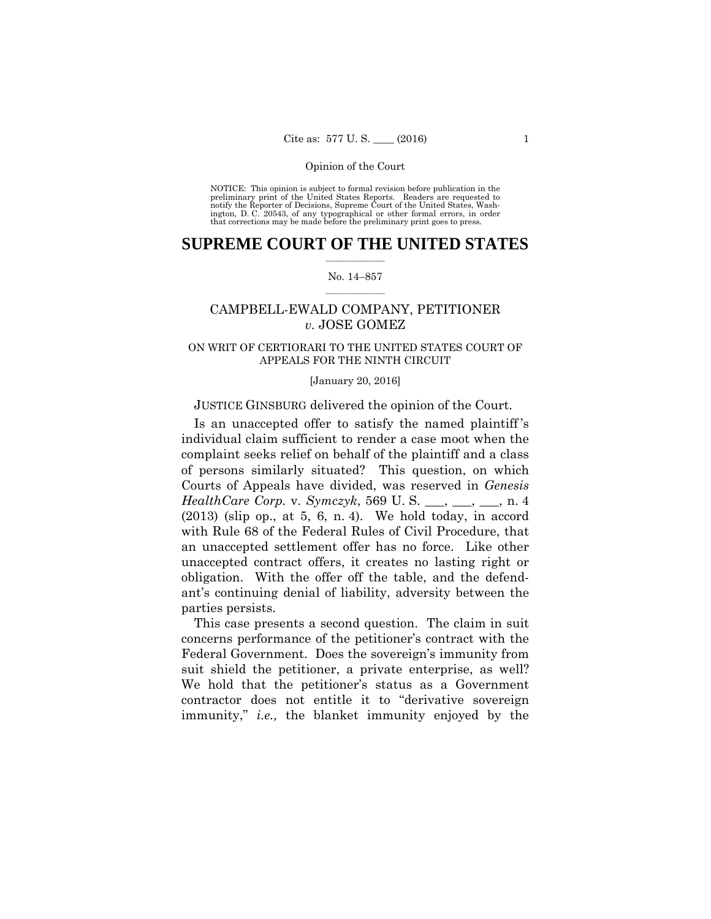preliminary print of the United States Reports. Readers are requested to notify the Reporter of Decisions, Supreme Court of the United States, Wash- ington, D. C. 20543, of any typographical or other formal errors, in order that corrections may be made before the preliminary print goes to press. NOTICE: This opinion is subject to formal revision before publication in the

# $\frac{1}{2}$  ,  $\frac{1}{2}$  ,  $\frac{1}{2}$  ,  $\frac{1}{2}$  ,  $\frac{1}{2}$  ,  $\frac{1}{2}$  ,  $\frac{1}{2}$ **SUPREME COURT OF THE UNITED STATES**

#### $\frac{1}{2}$  ,  $\frac{1}{2}$  ,  $\frac{1}{2}$  ,  $\frac{1}{2}$  ,  $\frac{1}{2}$  ,  $\frac{1}{2}$ No. 14–857

# CAMPBELL-EWALD COMPANY, PETITIONER *v.* JOSE GOMEZ

# APPEALS FOR THE NINTH CIRCUIT<br>[January 20, 2016] ON WRIT OF CERTIORARI TO THE UNITED STATES COURT OF

# JUSTICE GINSBURG delivered the opinion of the Court.

Is an unaccepted offer to satisfy the named plaintiff 's individual claim sufficient to render a case moot when the complaint seeks relief on behalf of the plaintiff and a class of persons similarly situated? This question, on which Courts of Appeals have divided, was reserved in *Genesis HealthCare Corp.* v. *Symczyk*, 569 U. S. \_\_, \_\_, \_\_, n. 4  $(2013)$  (slip op., at 5, 6, n. 4). We hold today, in accord with Rule 68 of the Federal Rules of Civil Procedure, that an unaccepted settlement offer has no force. Like other unaccepted contract offers, it creates no lasting right or obligation. With the offer off the table, and the defendant's continuing denial of liability, adversity between the parties persists.

 suit shield the petitioner, a private enterprise, as well? This case presents a second question. The claim in suit concerns performance of the petitioner's contract with the Federal Government. Does the sovereign's immunity from We hold that the petitioner's status as a Government contractor does not entitle it to "derivative sovereign immunity," *i.e.,* the blanket immunity enjoyed by the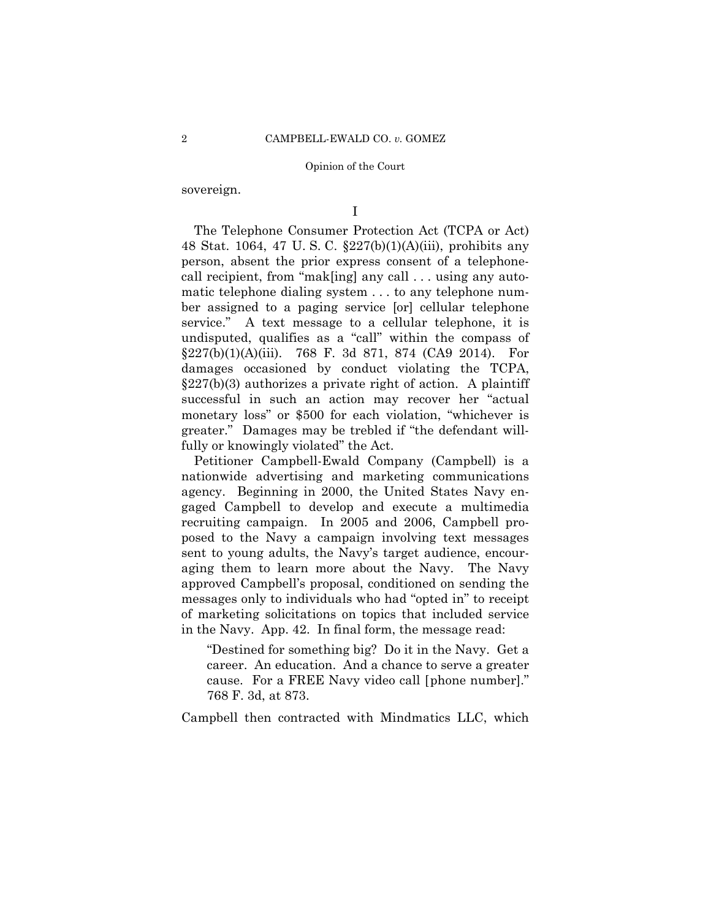sovereign.

I

The Telephone Consumer Protection Act (TCPA or Act) 48 Stat. 1064, 47 U. S. C. §227(b)(1)(A)(iii), prohibits any person, absent the prior express consent of a telephonecall recipient, from "mak[ing] any call . . . using any automatic telephone dialing system . . . to any telephone number assigned to a paging service [or] cellular telephone service." A text message to a cellular telephone, it is undisputed, qualifies as a "call" within the compass of  $\S 227(b)(1)(A)(iii)$ . 768 F. 3d 871, 874 (CA9 2014). For damages occasioned by conduct violating the TCPA, §227(b)(3) authorizes a private right of action. A plaintiff successful in such an action may recover her "actual monetary loss" or \$500 for each violation, "whichever is greater." Damages may be trebled if "the defendant willfully or knowingly violated" the Act.

Petitioner Campbell-Ewald Company (Campbell) is a nationwide advertising and marketing communications agency. Beginning in 2000, the United States Navy engaged Campbell to develop and execute a multimedia recruiting campaign. In 2005 and 2006, Campbell proposed to the Navy a campaign involving text messages sent to young adults, the Navy's target audience, encouraging them to learn more about the Navy. The Navy approved Campbell's proposal, conditioned on sending the messages only to individuals who had "opted in" to receipt of marketing solicitations on topics that included service in the Navy. App. 42. In final form, the message read:

"Destined for something big? Do it in the Navy. Get a career. An education. And a chance to serve a greater cause. For a FREE Navy video call [phone number]." 768 F. 3d, at 873.

Campbell then contracted with Mindmatics LLC, which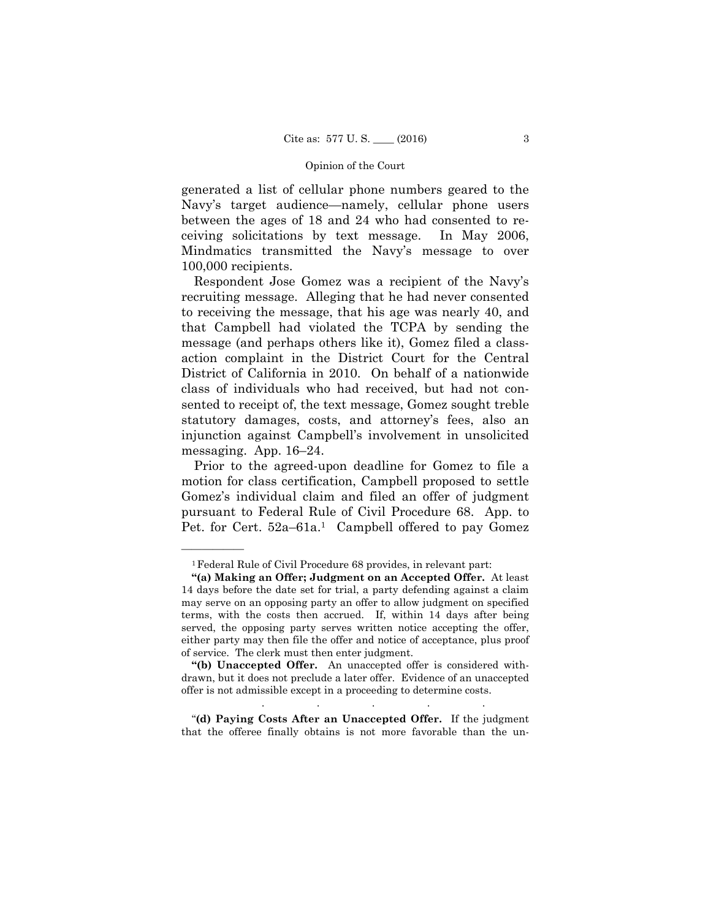generated a list of cellular phone numbers geared to the Navy's target audience—namely, cellular phone users between the ages of 18 and 24 who had consented to receiving solicitations by text message. In May 2006, Mindmatics transmitted the Navy's message to over 100,000 recipients.

Respondent Jose Gomez was a recipient of the Navy's recruiting message. Alleging that he had never consented to receiving the message, that his age was nearly 40, and that Campbell had violated the TCPA by sending the message (and perhaps others like it), Gomez filed a classaction complaint in the District Court for the Central District of California in 2010. On behalf of a nationwide class of individuals who had received, but had not consented to receipt of, the text message, Gomez sought treble statutory damages, costs, and attorney's fees, also an injunction against Campbell's involvement in unsolicited messaging. App. 16–24.

Prior to the agreed-upon deadline for Gomez to file a motion for class certification, Campbell proposed to settle Gomez's individual claim and filed an offer of judgment pursuant to Federal Rule of Civil Procedure 68. App. to Pet. for Cert. 52a–61a.<sup>1</sup> Campbell offered to pay Gomez

——————

"**(d) Paying Costs After an Unaccepted Offer.** If the judgment that the offeree finally obtains is not more favorable than the un-

. . . . .

<sup>&</sup>lt;sup>1</sup> Federal Rule of Civil Procedure 68 provides, in relevant part:

 **"(a) Making an Offer; Judgment on an Accepted Offer.** At least 14 days before the date set for trial, a party defending against a claim may serve on an opposing party an offer to allow judgment on specified terms, with the costs then accrued. If, within 14 days after being served, the opposing party serves written notice accepting the offer, either party may then file the offer and notice of acceptance, plus proof of service. The clerk must then enter judgment.

**<sup>&</sup>quot;(b) Unaccepted Offer.** An unaccepted offer is considered withdrawn, but it does not preclude a later offer. Evidence of an unaccepted offer is not admissible except in a proceeding to determine costs.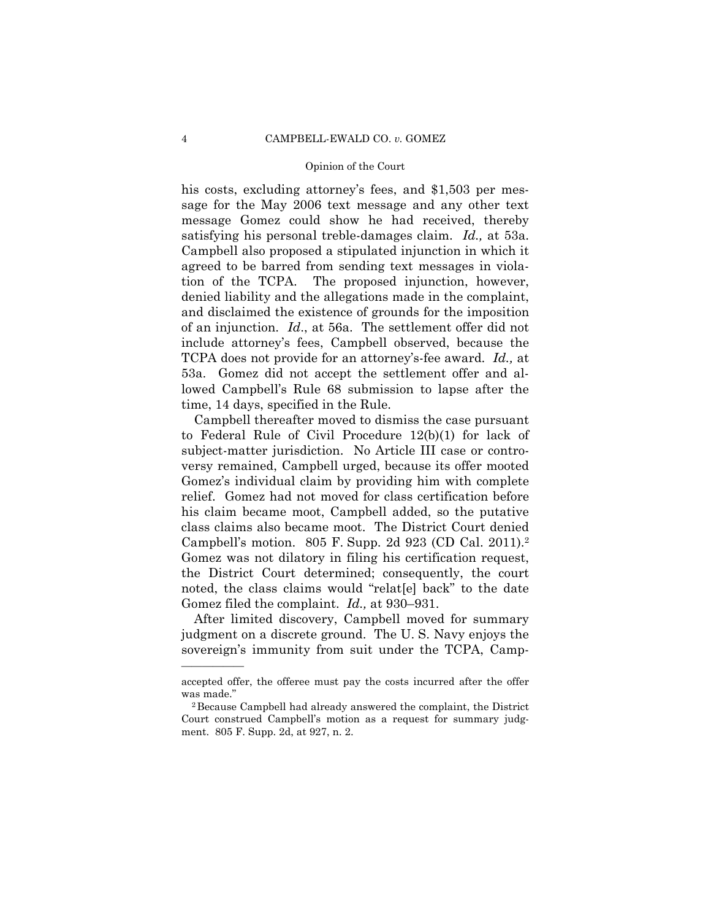his costs, excluding attorney's fees, and \$1,503 per message for the May 2006 text message and any other text message Gomez could show he had received, thereby satisfying his personal treble-damages claim. *Id.,* at 53a. Campbell also proposed a stipulated injunction in which it agreed to be barred from sending text messages in violation of the TCPA. The proposed injunction, however, denied liability and the allegations made in the complaint, and disclaimed the existence of grounds for the imposition of an injunction. *Id*., at 56a. The settlement offer did not include attorney's fees, Campbell observed, because the TCPA does not provide for an attorney's-fee award. *Id.,* at 53a. Gomez did not accept the settlement offer and allowed Campbell's Rule 68 submission to lapse after the time, 14 days, specified in the Rule.

 Campbell's motion. 805 F. Supp. 2d 923 (CD Cal. 2011).2 Campbell thereafter moved to dismiss the case pursuant to Federal Rule of Civil Procedure 12(b)(1) for lack of subject-matter jurisdiction. No Article III case or controversy remained, Campbell urged, because its offer mooted Gomez's individual claim by providing him with complete relief. Gomez had not moved for class certification before his claim became moot, Campbell added, so the putative class claims also became moot. The District Court denied Gomez was not dilatory in filing his certification request, the District Court determined; consequently, the court noted, the class claims would "relat[e] back" to the date Gomez filed the complaint. *Id.,* at 930–931.

After limited discovery, Campbell moved for summary judgment on a discrete ground. The U. S. Navy enjoys the sovereign's immunity from suit under the TCPA, Camp-

accepted offer, the offeree must pay the costs incurred after the offer was made."<br><sup>2</sup> Because Campbell had already answered the complaint, the District

Court construed Campbell's motion as a request for summary judgment. 805 F. Supp. 2d, at 927, n. 2.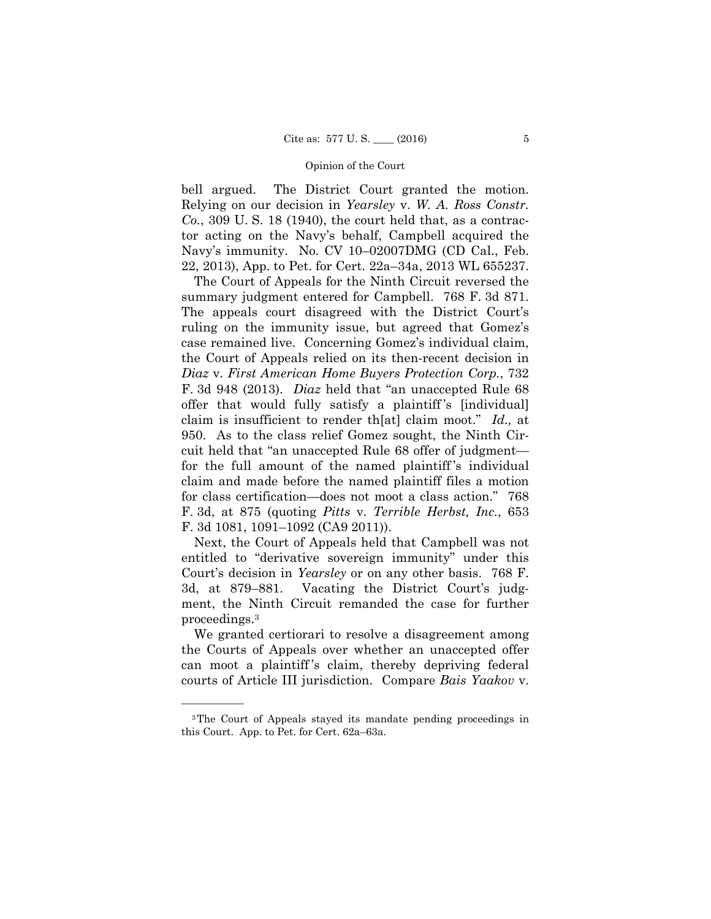bell argued. The District Court granted the motion. Relying on our decision in *Yearsley* v. *W. A. Ross Constr. Co.*, 309 U. S. 18 (1940), the court held that, as a contractor acting on the Navy's behalf, Campbell acquired the Navy's immunity. No. CV 10–02007DMG (CD Cal., Feb. 22, 2013), App. to Pet. for Cert. 22a–34a, 2013 WL 655237.

The Court of Appeals for the Ninth Circuit reversed the summary judgment entered for Campbell. 768 F. 3d 871. The appeals court disagreed with the District Court's ruling on the immunity issue, but agreed that Gomez's case remained live. Concerning Gomez's individual claim, the Court of Appeals relied on its then-recent decision in *Diaz* v. *First American Home Buyers Protection Corp.*, 732 F. 3d 948 (2013). *Diaz* held that "an unaccepted Rule 68 offer that would fully satisfy a plaintiff 's [individual] claim is insufficient to render th[at] claim moot." *Id.,* at 950. As to the class relief Gomez sought, the Ninth Circuit held that "an unaccepted Rule 68 offer of judgment for the full amount of the named plaintiff 's individual claim and made before the named plaintiff files a motion for class certification—does not moot a class action." 768 F. 3d, at 875 (quoting *Pitts* v. *Terrible Herbst, Inc.*, 653 F. 3d 1081, 1091–1092 (CA9 2011)).

Next, the Court of Appeals held that Campbell was not entitled to "derivative sovereign immunity" under this Court's decision in *Yearsley* or on any other basis. 768 F. 3d, at 879–881. Vacating the District Court's judgment, the Ninth Circuit remanded the case for further proceedings.3

We granted certiorari to resolve a disagreement among the Courts of Appeals over whether an unaccepted offer can moot a plaintiff 's claim, thereby depriving federal courts of Article III jurisdiction. Compare *Bais Yaakov* v.

<sup>3</sup>The Court of Appeals stayed its mandate pending proceedings in this Court. App. to Pet. for Cert. 62a–63a.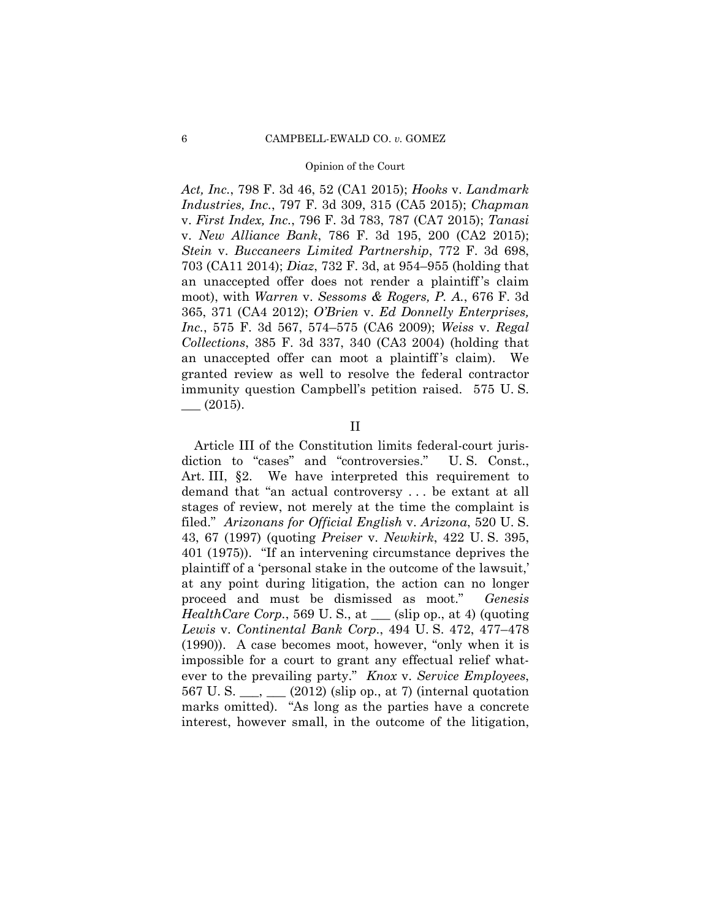*Act, Inc.*, 798 F. 3d 46, 52 (CA1 2015); *Hooks* v. *Landmark Industries, Inc.*, 797 F. 3d 309, 315 (CA5 2015); *Chapman*  v. *First Index, Inc.*, 796 F. 3d 783, 787 (CA7 2015); *Tanasi*  v. *New Alliance Bank*, 786 F. 3d 195, 200 (CA2 2015); *Stein* v. *Buccaneers Limited Partnership*, 772 F. 3d 698, 703 (CA11 2014); *Diaz*, 732 F. 3d, at 954–955 (holding that an unaccepted offer does not render a plaintiff 's claim moot), with *Warren* v. *Sessoms & Rogers, P. A.*, 676 F. 3d 365, 371 (CA4 2012); *O'Brien* v. *Ed Donnelly Enterprises, Inc.*, 575 F. 3d 567, 574–575 (CA6 2009); *Weiss* v. *Regal Collections*, 385 F. 3d 337, 340 (CA3 2004) (holding that an unaccepted offer can moot a plaintiff 's claim). We granted review as well to resolve the federal contractor immunity question Campbell's petition raised. 575 U. S.  $\_\_$  (2015).

### II

Article III of the Constitution limits federal-court jurisdiction to "cases" and "controversies." U. S. Const., Art. III, §2. We have interpreted this requirement to demand that "an actual controversy . . . be extant at all stages of review, not merely at the time the complaint is filed." *Arizonans for Official English* v. *Arizona*, 520 U. S. 43, 67 (1997) (quoting *Preiser* v. *Newkirk*, 422 U. S. 395, 401 (1975)). "If an intervening circumstance deprives the plaintiff of a 'personal stake in the outcome of the lawsuit,' at any point during litigation, the action can no longer proceed and must be dismissed as moot." *Genesis HealthCare Corp.*, 569 U.S., at (slip op., at 4) (quoting *Lewis* v. *Continental Bank Corp*., 494 U. S. 472, 477–478 (1990)). A case becomes moot, however, "only when it is impossible for a court to grant any effectual relief whatever to the prevailing party." *Knox* v. *Service Employees*, 567 U. S. \_\_\_, \_\_\_ (2012) (slip op., at 7) (internal quotation marks omitted). "As long as the parties have a concrete interest, however small, in the outcome of the litigation,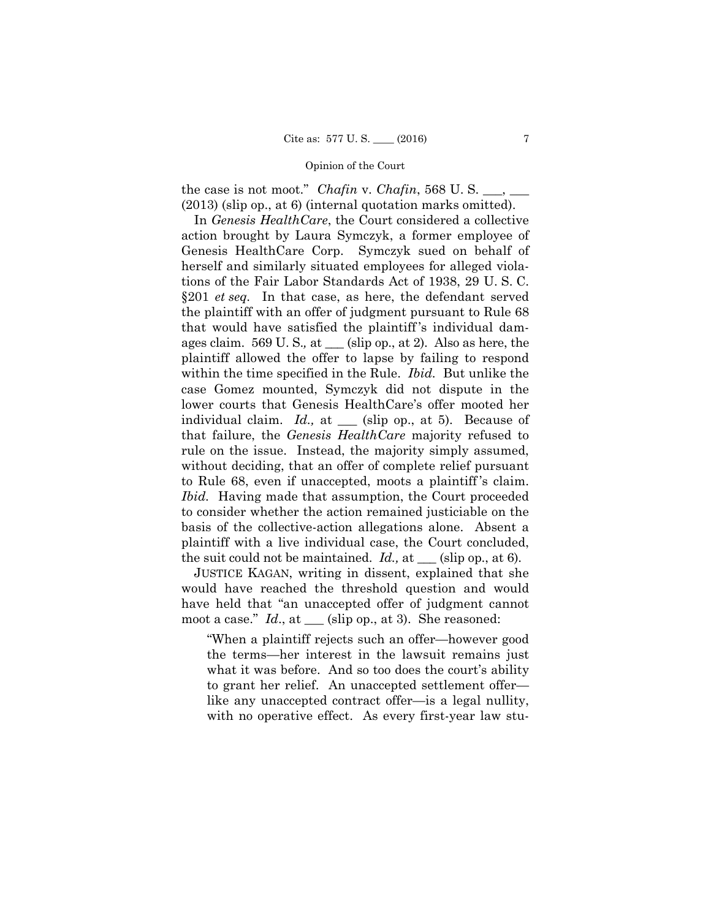the case is not moot." *Chafin* v. *Chafin*, 568 U.S. (2013) (slip op., at 6) (internal quotation marks omitted).

§201 *et seq.* In that case, as here, the defendant served In *Genesis HealthCare*, the Court considered a collective action brought by Laura Symczyk, a former employee of Genesis HealthCare Corp. Symczyk sued on behalf of herself and similarly situated employees for alleged violations of the Fair Labor Standards Act of 1938, 29 U. S. C. the plaintiff with an offer of judgment pursuant to Rule 68 that would have satisfied the plaintiff 's individual damages claim. 569 U. S.*,* at \_\_\_ (slip op., at 2). Also as here, the plaintiff allowed the offer to lapse by failing to respond within the time specified in the Rule. *Ibid.* But unlike the case Gomez mounted, Symczyk did not dispute in the lower courts that Genesis HealthCare's offer mooted her individual claim. *Id.*, at \_\_\_ (slip op., at 5). Because of that failure, the *Genesis HealthCare* majority refused to rule on the issue. Instead, the majority simply assumed, without deciding, that an offer of complete relief pursuant to Rule 68, even if unaccepted, moots a plaintiff 's claim. *Ibid.* Having made that assumption, the Court proceeded to consider whether the action remained justiciable on the basis of the collective-action allegations alone. Absent a plaintiff with a live individual case, the Court concluded, the suit could not be maintained. *Id.,* at \_\_\_ (slip op., at 6).

JUSTICE KAGAN, writing in dissent, explained that she would have reached the threshold question and would have held that "an unaccepted offer of judgment cannot moot a case." *Id.*, at \_\_\_ (slip op., at 3). She reasoned:

"When a plaintiff rejects such an offer—however good the terms—her interest in the lawsuit remains just what it was before. And so too does the court's ability to grant her relief. An unaccepted settlement offer like any unaccepted contract offer—is a legal nullity, with no operative effect. As every first-year law stu-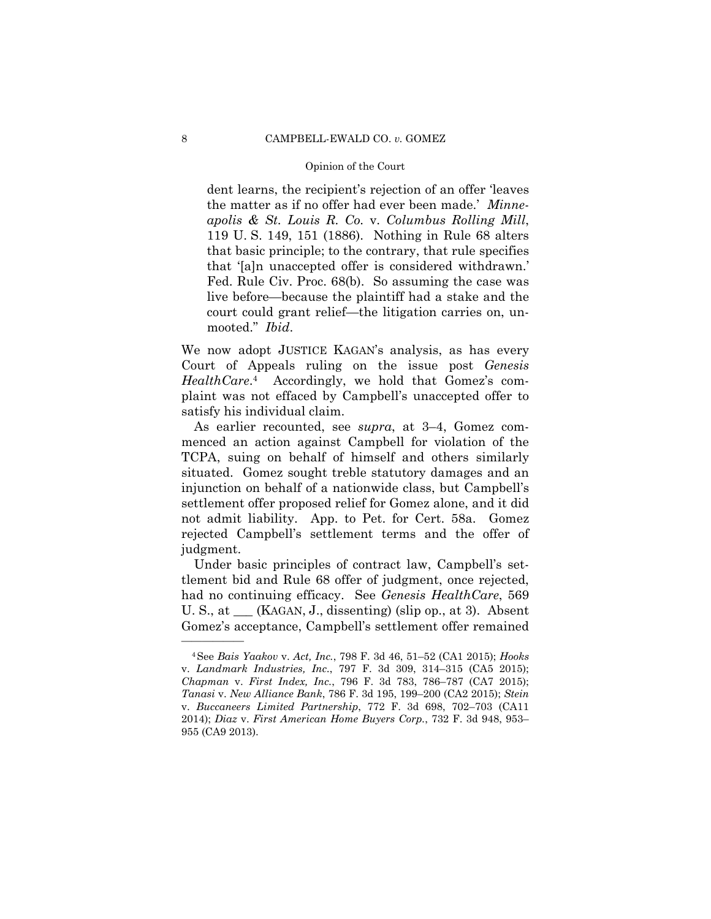dent learns, the recipient's rejection of an offer 'leaves the matter as if no offer had ever been made.' *Minneapolis & St. Louis R. Co.* v. *Columbus Rolling Mill*, 119 U. S. 149, 151 (1886). Nothing in Rule 68 alters that basic principle; to the contrary, that rule specifies that '[a]n unaccepted offer is considered withdrawn.' Fed. Rule Civ. Proc. 68(b). So assuming the case was live before—because the plaintiff had a stake and the court could grant relief—the litigation carries on, unmooted." *Ibid*.

We now adopt JUSTICE KAGAN's analysis, as has every Court of Appeals ruling on the issue post *Genesis HealthCare*.4 Accordingly, we hold that Gomez's complaint was not effaced by Campbell's unaccepted offer to satisfy his individual claim.

As earlier recounted, see *supra*, at 3–4, Gomez commenced an action against Campbell for violation of the TCPA, suing on behalf of himself and others similarly situated. Gomez sought treble statutory damages and an injunction on behalf of a nationwide class, but Campbell's settlement offer proposed relief for Gomez alone, and it did not admit liability. App. to Pet. for Cert. 58a. Gomez rejected Campbell's settlement terms and the offer of judgment.

 U. S., at \_\_\_ (KAGAN, J., dissenting) (slip op., at 3). Absent Under basic principles of contract law, Campbell's settlement bid and Rule 68 offer of judgment, once rejected, had no continuing efficacy. See *Genesis HealthCare*, 569 Gomez's acceptance, Campbell's settlement offer remained

<sup>4</sup>See *Bais Yaakov* v. *Act, Inc.*, 798 F. 3d 46, 51–52 (CA1 2015); *Hooks*  v. *Landmark Industries, Inc.*, 797 F. 3d 309, 314–315 (CA5 2015); *Chapman* v. *First Index, Inc.*, 796 F. 3d 783, 786–787 (CA7 2015); *Tanasi* v. *New Alliance Bank*, 786 F. 3d 195, 199–200 (CA2 2015); *Stein*  v. *Buccaneers Limited Partnership*, 772 F. 3d 698, 702–703 (CA11 2014); *Diaz* v. *First American Home Buyers Corp.*, 732 F. 3d 948, 953– 955 (CA9 2013).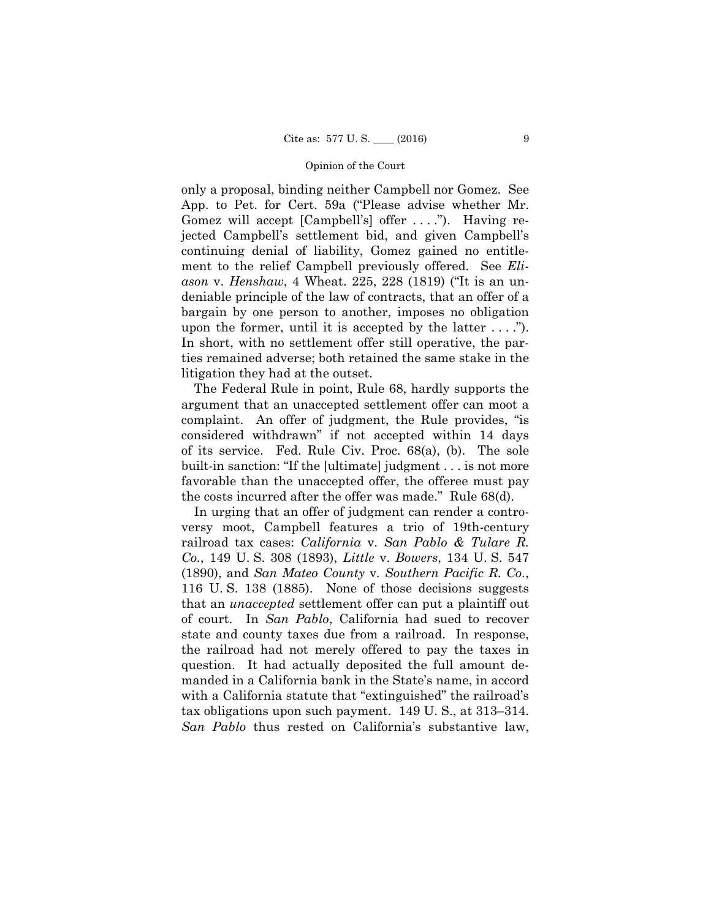upon the former, until it is accepted by the latter  $\dots$ ."). only a proposal, binding neither Campbell nor Gomez. See App. to Pet. for Cert. 59a ("Please advise whether Mr. Gomez will accept [Campbell's] offer ...."). Having rejected Campbell's settlement bid, and given Campbell's continuing denial of liability, Gomez gained no entitlement to the relief Campbell previously offered. See *Eliason* v. *Henshaw*, 4 Wheat. 225, 228 (1819) ("It is an undeniable principle of the law of contracts, that an offer of a bargain by one person to another, imposes no obligation In short, with no settlement offer still operative, the parties remained adverse; both retained the same stake in the litigation they had at the outset.

The Federal Rule in point, Rule 68, hardly supports the argument that an unaccepted settlement offer can moot a complaint. An offer of judgment, the Rule provides, "is considered withdrawn" if not accepted within 14 days of its service. Fed. Rule Civ. Proc. 68(a), (b). The sole built-in sanction: "If the [ultimate] judgment . . . is not more favorable than the unaccepted offer, the offeree must pay the costs incurred after the offer was made." Rule 68(d).

In urging that an offer of judgment can render a controversy moot, Campbell features a trio of 19th-century railroad tax cases: *California* v. *San Pablo & Tulare R. Co.*, 149 U. S. 308 (1893), *Little* v. *Bowers*, 134 U. S. 547 (1890), and *San Mateo County* v*. Southern Pacific R. Co.*, 116 U. S. 138 (1885). None of those decisions suggests that an *unaccepted* settlement offer can put a plaintiff out of court. In *San Pablo*, California had sued to recover state and county taxes due from a railroad. In response, the railroad had not merely offered to pay the taxes in question. It had actually deposited the full amount demanded in a California bank in the State's name, in accord with a California statute that "extinguished" the railroad's tax obligations upon such payment. 149 U. S., at 313–314. *San Pablo* thus rested on California's substantive law,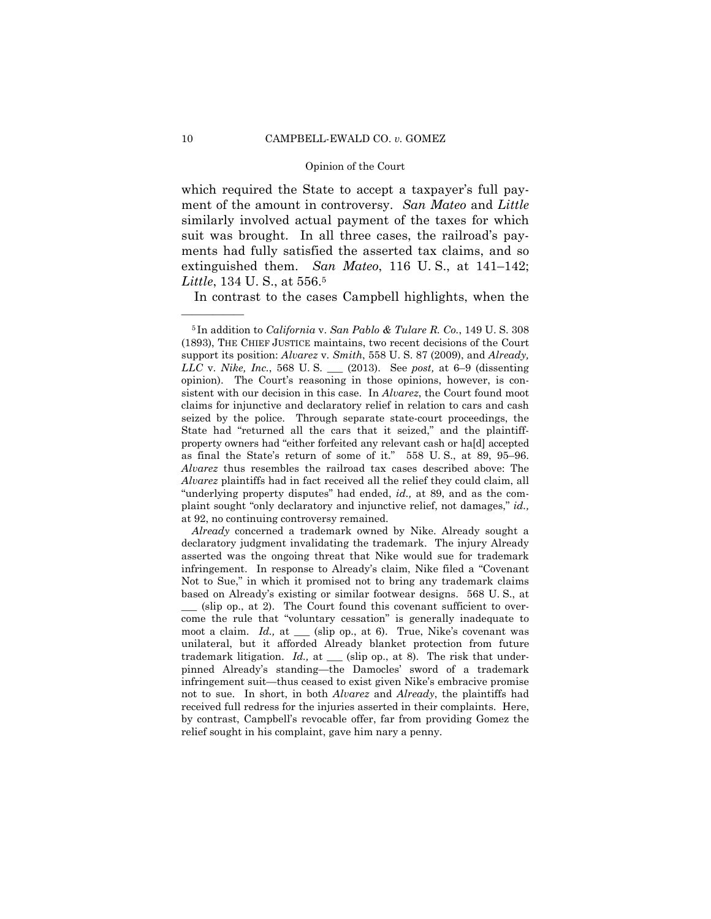ment of the amount in controversy. *San Mateo* and *Little*  which required the State to accept a taxpayer's full paysimilarly involved actual payment of the taxes for which suit was brought. In all three cases, the railroad's payments had fully satisfied the asserted tax claims, and so extinguished them. *San Mateo*, 116 U. S., at 141–142; *Little*, 134 U. S., at 556.5

In contrast to the cases Campbell highlights, when the

<sup>5</sup> In addition to *California* v. *San Pablo & Tulare R. Co.*, 149 U. S. 308 (1893), THE CHIEF JUSTICE maintains, two recent decisions of the Court support its position: *Alvarez* v. *Smith*, 558 U. S. 87 (2009), and *Already, LLC* v. *Nike, Inc.*, 568 U. S. \_\_\_ (2013). See *post,* at 6–9 (dissenting opinion). The Court's reasoning in those opinions, however, is consistent with our decision in this case. In *Alvarez*, the Court found moot claims for injunctive and declaratory relief in relation to cars and cash seized by the police. Through separate state-court proceedings, the State had "returned all the cars that it seized," and the plaintiffproperty owners had "either forfeited any relevant cash or ha[d] accepted as final the State's return of some of it." 558 U. S., at 89, 95–96. *Alvarez* thus resembles the railroad tax cases described above: The *Alvarez* plaintiffs had in fact received all the relief they could claim, all "underlying property disputes" had ended, *id.,* at 89, and as the complaint sought "only declaratory and injunctive relief, not damages," *id.,*  at 92, no continuing controversy remained.

 moot a claim. *Id.,* at \_\_\_ (slip op., at 6). True, Nike's covenant was *Already* concerned a trademark owned by Nike. Already sought a declaratory judgment invalidating the trademark. The injury Already asserted was the ongoing threat that Nike would sue for trademark infringement. In response to Already's claim, Nike filed a "Covenant Not to Sue," in which it promised not to bring any trademark claims based on Already's existing or similar footwear designs. 568 U. S., at  $\alpha$  (slip op., at 2). The Court found this covenant sufficient to overcome the rule that "voluntary cessation" is generally inadequate to unilateral, but it afforded Already blanket protection from future trademark litigation. *Id.*, at \_\_\_ (slip op., at 8). The risk that underpinned Already's standing—the Damocles' sword of a trademark infringement suit—thus ceased to exist given Nike's embracive promise not to sue. In short, in both *Alvarez* and *Already*, the plaintiffs had received full redress for the injuries asserted in their complaints. Here, by contrast, Campbell's revocable offer, far from providing Gomez the relief sought in his complaint, gave him nary a penny.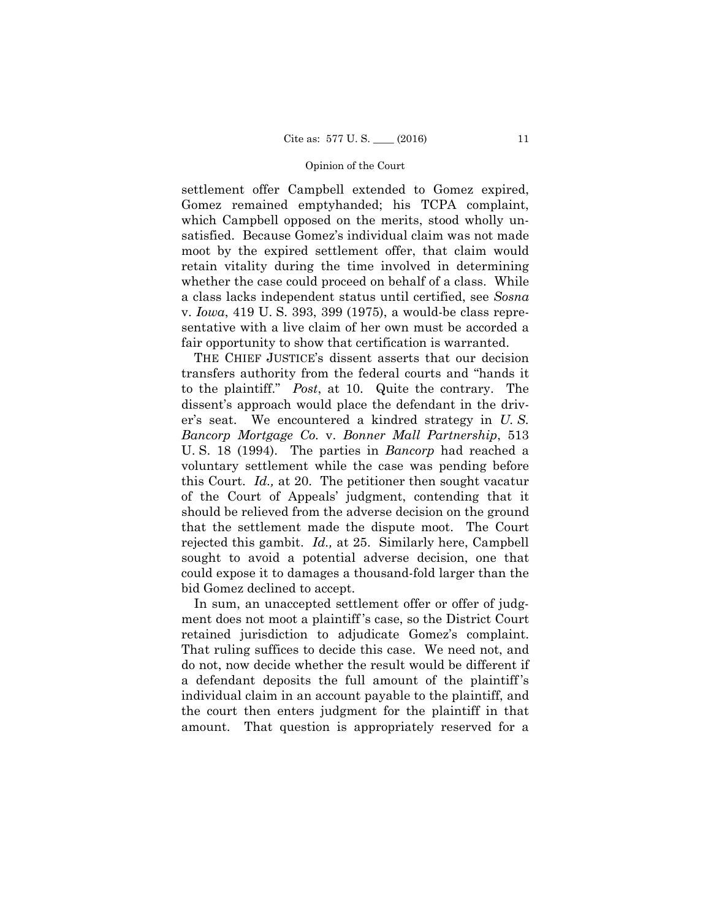settlement offer Campbell extended to Gomez expired, Gomez remained emptyhanded; his TCPA complaint, which Campbell opposed on the merits, stood wholly unsatisfied. Because Gomez's individual claim was not made moot by the expired settlement offer, that claim would retain vitality during the time involved in determining whether the case could proceed on behalf of a class. While a class lacks independent status until certified, see *Sosna*  v. *Iowa*, 419 U. S. 393, 399 (1975), a would-be class representative with a live claim of her own must be accorded a fair opportunity to show that certification is warranted.

THE CHIEF JUSTICE's dissent asserts that our decision transfers authority from the federal courts and "hands it to the plaintiff." *Post*, at 10. Quite the contrary. The dissent's approach would place the defendant in the driver's seat. We encountered a kindred strategy in *U. S. Bancorp Mortgage Co.* v. *Bonner Mall Partnership*, 513 U. S. 18 (1994). The parties in *Bancorp* had reached a voluntary settlement while the case was pending before this Court. *Id.,* at 20. The petitioner then sought vacatur of the Court of Appeals' judgment, contending that it should be relieved from the adverse decision on the ground that the settlement made the dispute moot. The Court rejected this gambit. *Id.,* at 25. Similarly here, Campbell sought to avoid a potential adverse decision, one that could expose it to damages a thousand-fold larger than the bid Gomez declined to accept.

In sum, an unaccepted settlement offer or offer of judgment does not moot a plaintiff 's case, so the District Court retained jurisdiction to adjudicate Gomez's complaint. That ruling suffices to decide this case. We need not, and do not, now decide whether the result would be different if a defendant deposits the full amount of the plaintiff 's individual claim in an account payable to the plaintiff, and the court then enters judgment for the plaintiff in that amount. That question is appropriately reserved for a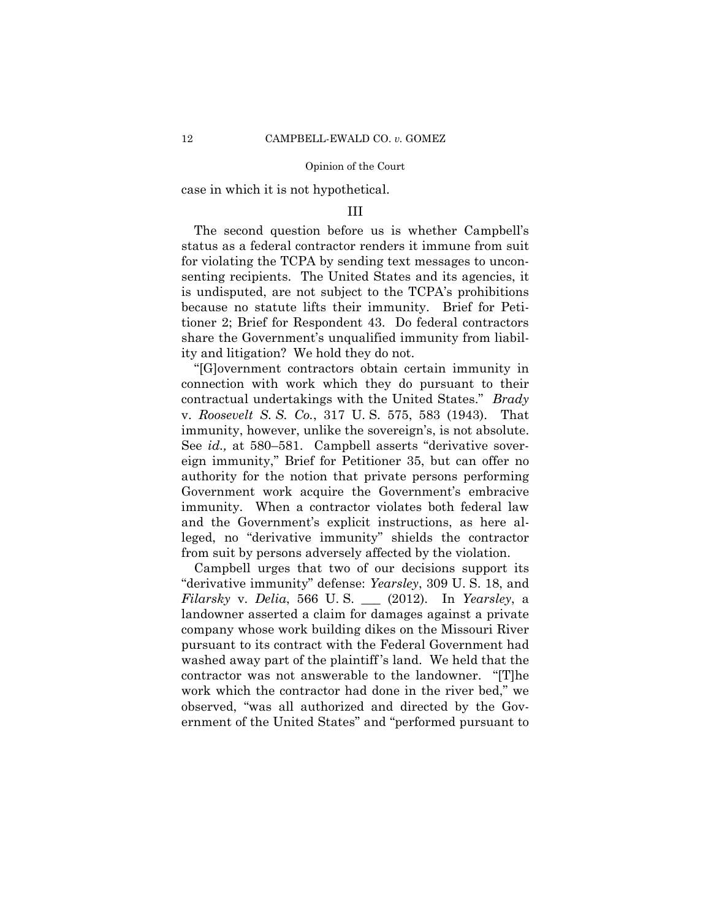case in which it is not hypothetical.

### III

The second question before us is whether Campbell's status as a federal contractor renders it immune from suit for violating the TCPA by sending text messages to unconsenting recipients. The United States and its agencies, it is undisputed, are not subject to the TCPA's prohibitions because no statute lifts their immunity. Brief for Petitioner 2; Brief for Respondent 43. Do federal contractors share the Government's unqualified immunity from liability and litigation? We hold they do not.

"[G]overnment contractors obtain certain immunity in connection with work which they do pursuant to their contractual undertakings with the United States." *Brady*  v. *Roosevelt S. S. Co.*, 317 U. S. 575, 583 (1943). That immunity, however, unlike the sovereign's, is not absolute. See *id.,* at 580–581. Campbell asserts "derivative sovereign immunity," Brief for Petitioner 35, but can offer no authority for the notion that private persons performing Government work acquire the Government's embracive immunity. When a contractor violates both federal law and the Government's explicit instructions, as here alleged, no "derivative immunity" shields the contractor from suit by persons adversely affected by the violation.

Campbell urges that two of our decisions support its "derivative immunity" defense: *Yearsley*, 309 U. S. 18, and *Filarsky* v. *Delia*, 566 U. S. \_\_\_ (2012). In *Yearsley*, a landowner asserted a claim for damages against a private company whose work building dikes on the Missouri River pursuant to its contract with the Federal Government had washed away part of the plaintiff 's land. We held that the contractor was not answerable to the landowner. "[T]he work which the contractor had done in the river bed," we observed, "was all authorized and directed by the Government of the United States" and "performed pursuant to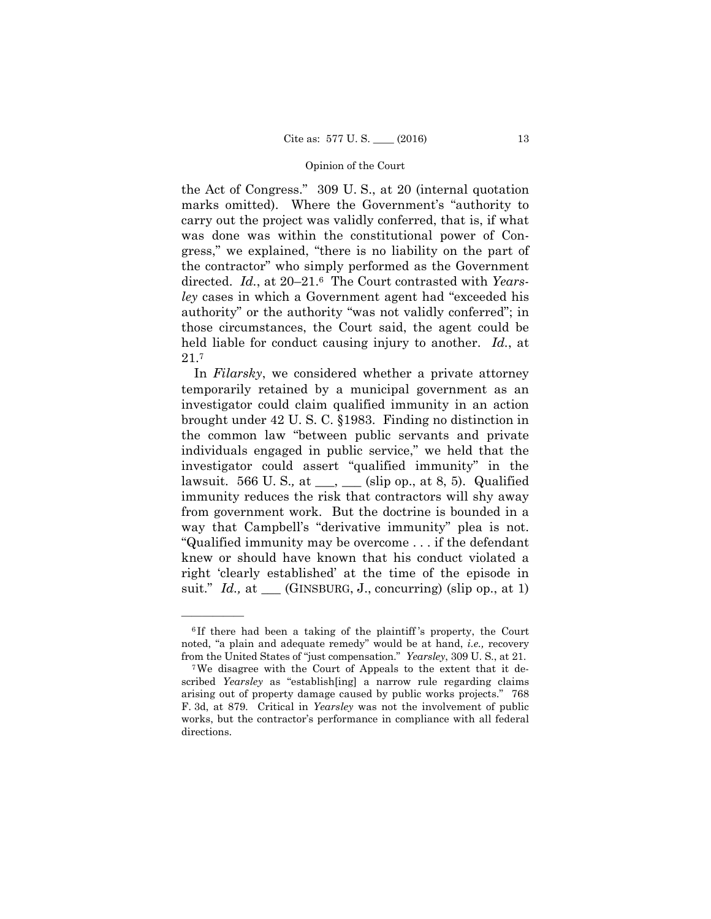the Act of Congress." 309 U. S., at 20 (internal quotation marks omitted). Where the Government's "authority to carry out the project was validly conferred, that is, if what was done was within the constitutional power of Congress," we explained, "there is no liability on the part of the contractor" who simply performed as the Government directed. *Id.*, at 20–21.6 The Court contrasted with *Yearsley* cases in which a Government agent had "exceeded his authority" or the authority "was not validly conferred"; in those circumstances, the Court said, the agent could be held liable for conduct causing injury to another. *Id.*, at 21.7

suit." *Id.*, at \_\_\_ (GINSBURG, J., concurring) (slip op., at 1) In *Filarsky*, we considered whether a private attorney temporarily retained by a municipal government as an investigator could claim qualified immunity in an action brought under 42 U. S. C. §1983. Finding no distinction in the common law "between public servants and private individuals engaged in public service," we held that the investigator could assert "qualified immunity" in the lawsuit. 566 U. S.*,* at \_\_\_, \_\_\_ (slip op., at 8, 5). Qualified immunity reduces the risk that contractors will shy away from government work. But the doctrine is bounded in a way that Campbell's "derivative immunity" plea is not. "Qualified immunity may be overcome . . . if the defendant knew or should have known that his conduct violated a right 'clearly established' at the time of the episode in

from the United States of "just compensation." Yearsley, 309 U.S., at 21. <sup>6</sup> If there had been a taking of the plaintiff 's property, the Court noted, "a plain and adequate remedy" would be at hand, *i.e.,* recovery

<sup>&</sup>lt;sup>7</sup>We disagree with the Court of Appeals to the extent that it described *Yearsley* as "establish[ing] a narrow rule regarding claims arising out of property damage caused by public works projects." 768 F. 3d, at 879. Critical in *Yearsley* was not the involvement of public works, but the contractor's performance in compliance with all federal directions.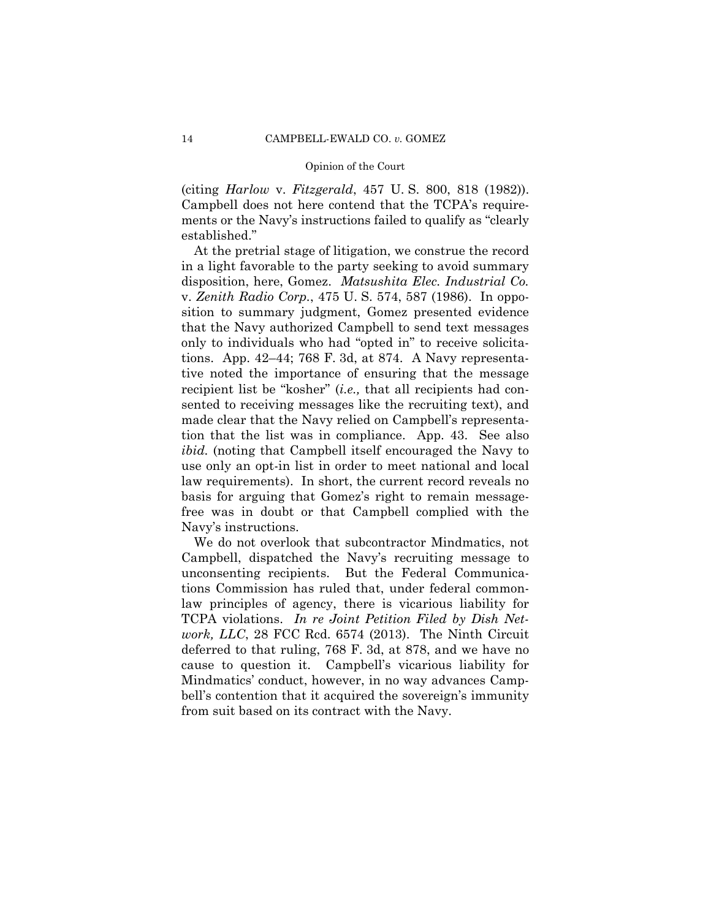(citing *Harlow* v. *Fitzgerald*, 457 U. S. 800, 818 (1982)). Campbell does not here contend that the TCPA's requirements or the Navy's instructions failed to qualify as "clearly established."

At the pretrial stage of litigation, we construe the record in a light favorable to the party seeking to avoid summary disposition, here, Gomez. *Matsushita Elec. Industrial Co.*  v. *Zenith Radio Corp.*, 475 U. S. 574, 587 (1986). In opposition to summary judgment, Gomez presented evidence that the Navy authorized Campbell to send text messages only to individuals who had "opted in" to receive solicitations. App. 42–44; 768 F. 3d, at 874. A Navy representative noted the importance of ensuring that the message recipient list be "kosher" (*i.e.,* that all recipients had consented to receiving messages like the recruiting text), and made clear that the Navy relied on Campbell's representation that the list was in compliance. App. 43. See also *ibid.* (noting that Campbell itself encouraged the Navy to use only an opt-in list in order to meet national and local law requirements). In short, the current record reveals no basis for arguing that Gomez's right to remain messagefree was in doubt or that Campbell complied with the Navy's instructions.

We do not overlook that subcontractor Mindmatics, not Campbell, dispatched the Navy's recruiting message to unconsenting recipients. But the Federal Communications Commission has ruled that, under federal commonlaw principles of agency, there is vicarious liability for TCPA violations. *In re Joint Petition Filed by Dish Network, LLC*, 28 FCC Rcd. 6574 (2013). The Ninth Circuit deferred to that ruling, 768 F. 3d, at 878, and we have no cause to question it. Campbell's vicarious liability for Mindmatics' conduct, however, in no way advances Campbell's contention that it acquired the sovereign's immunity from suit based on its contract with the Navy.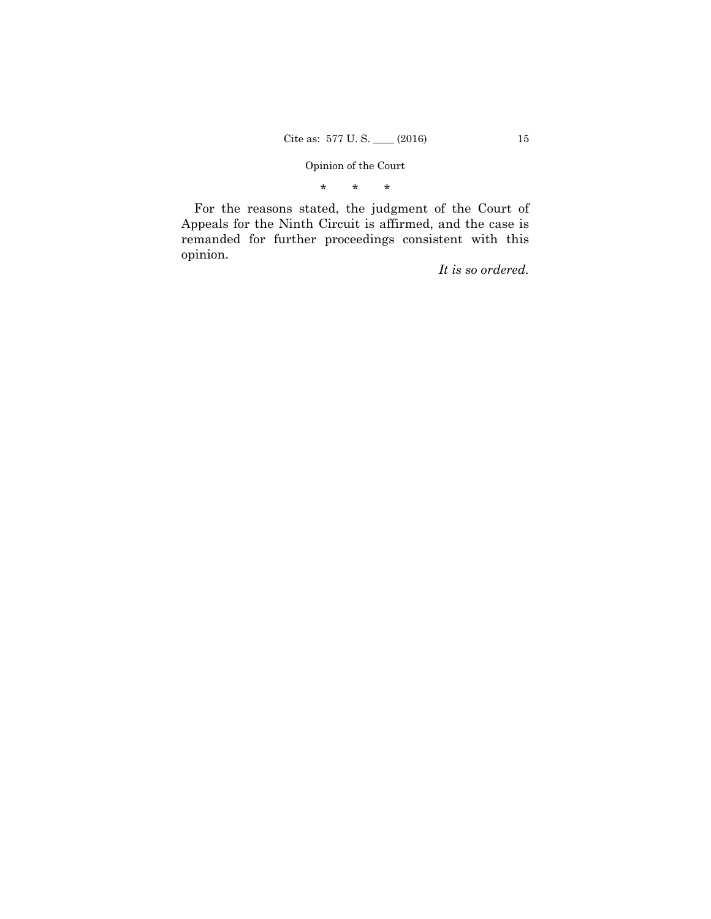\* \* \*

For the reasons stated, the judgment of the Court of Appeals for the Ninth Circuit is affirmed, and the case is remanded for further proceedings consistent with this opinion.

*It is so ordered.*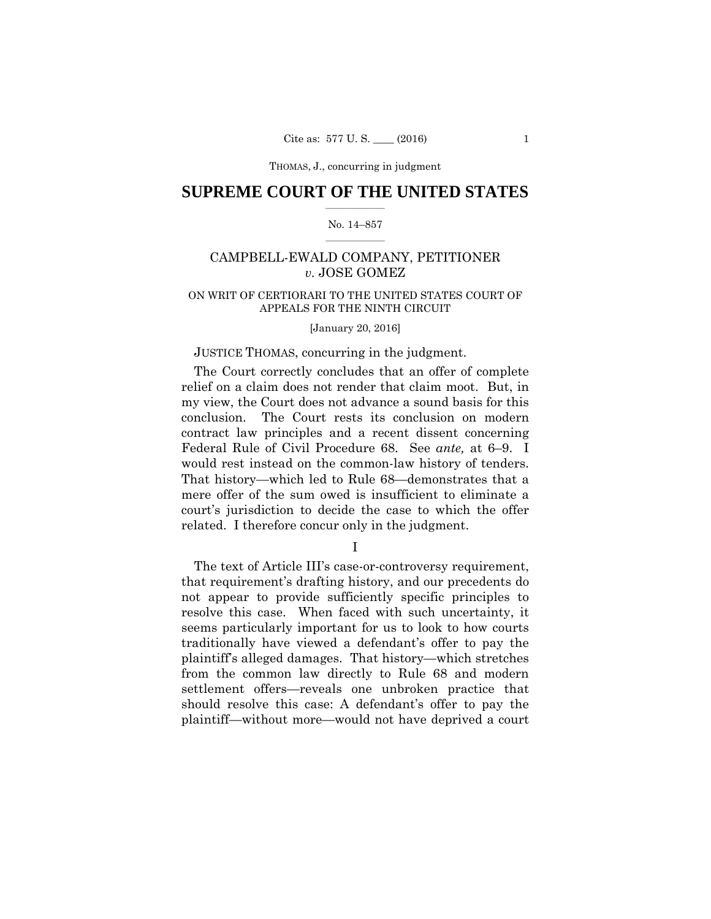# $\frac{1}{2}$  ,  $\frac{1}{2}$  ,  $\frac{1}{2}$  ,  $\frac{1}{2}$  ,  $\frac{1}{2}$  ,  $\frac{1}{2}$  ,  $\frac{1}{2}$ **SUPREME COURT OF THE UNITED STATES**

#### $\frac{1}{2}$  ,  $\frac{1}{2}$  ,  $\frac{1}{2}$  ,  $\frac{1}{2}$  ,  $\frac{1}{2}$  ,  $\frac{1}{2}$ No. 14–857

# CAMPBELL-EWALD COMPANY, PETITIONER *v.* JOSE GOMEZ

# APPEALS FOR THE NINTH CIRCUIT<br>[January 20, 2016] ON WRIT OF CERTIORARI TO THE UNITED STATES COURT OF

# JUSTICE THOMAS, concurring in the judgment.

 would rest instead on the common-law history of tenders. The Court correctly concludes that an offer of complete relief on a claim does not render that claim moot. But, in my view, the Court does not advance a sound basis for this conclusion. The Court rests its conclusion on modern contract law principles and a recent dissent concerning Federal Rule of Civil Procedure 68. See *ante,* at 6–9. I That history—which led to Rule 68—demonstrates that a mere offer of the sum owed is insufficient to eliminate a court's jurisdiction to decide the case to which the offer related. I therefore concur only in the judgment.

I

The text of Article III's case-or-controversy requirement, that requirement's drafting history, and our precedents do not appear to provide sufficiently specific principles to resolve this case. When faced with such uncertainty, it seems particularly important for us to look to how courts traditionally have viewed a defendant's offer to pay the plaintiff's alleged damages. That history—which stretches from the common law directly to Rule 68 and modern settlement offers—reveals one unbroken practice that should resolve this case: A defendant's offer to pay the plaintiff—without more—would not have deprived a court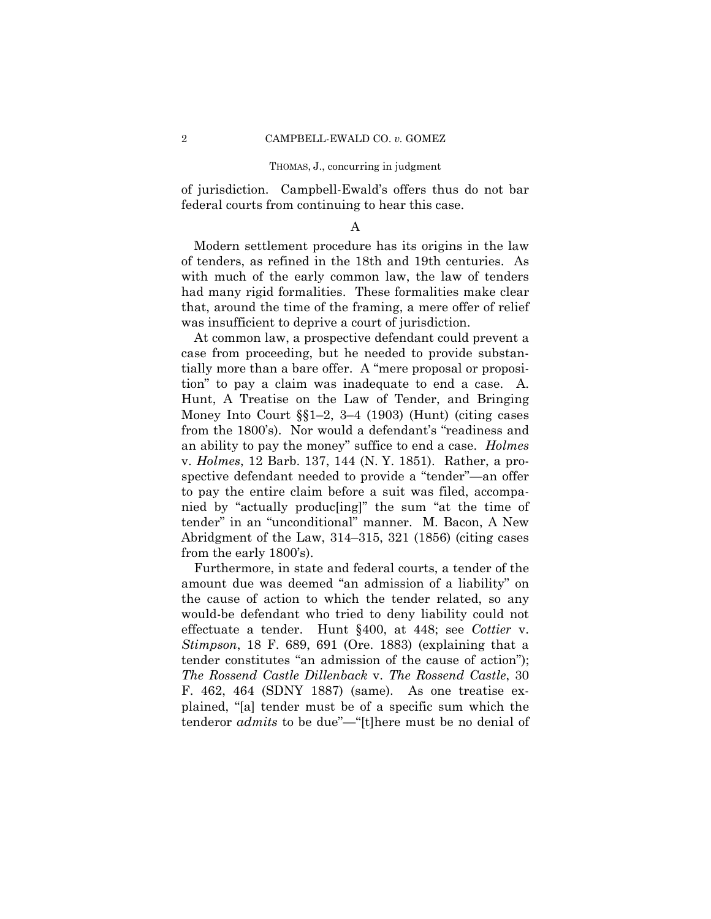of jurisdiction. Campbell-Ewald's offers thus do not bar federal courts from continuing to hear this case.

### A

Modern settlement procedure has its origins in the law of tenders, as refined in the 18th and 19th centuries. As with much of the early common law, the law of tenders had many rigid formalities. These formalities make clear that, around the time of the framing, a mere offer of relief was insufficient to deprive a court of jurisdiction.

 tion" to pay a claim was inadequate to end a case. A. At common law, a prospective defendant could prevent a case from proceeding, but he needed to provide substantially more than a bare offer. A "mere proposal or proposi-Hunt, A Treatise on the Law of Tender, and Bringing Money Into Court §§1–2, 3–4 (1903) (Hunt) (citing cases from the 1800's). Nor would a defendant's "readiness and an ability to pay the money" suffice to end a case. *Holmes*  v. *Holmes*, 12 Barb. 137, 144 (N. Y. 1851). Rather, a prospective defendant needed to provide a "tender"—an offer to pay the entire claim before a suit was filed, accompanied by "actually produc[ing]" the sum "at the time of tender" in an "unconditional" manner. M. Bacon, A New Abridgment of the Law, 314–315, 321 (1856) (citing cases from the early 1800's).

Furthermore, in state and federal courts, a tender of the amount due was deemed "an admission of a liability" on the cause of action to which the tender related, so any would-be defendant who tried to deny liability could not effectuate a tender. Hunt §400, at 448; see *Cottier* v. *Stimpson*, 18 F. 689, 691 (Ore. 1883) (explaining that a tender constitutes "an admission of the cause of action"); *The Rossend Castle Dillenback* v. *The Rossend Castle*, 30 F. 462, 464 (SDNY 1887) (same). As one treatise explained, "[a] tender must be of a specific sum which the tenderor *admits* to be due"—"[t]here must be no denial of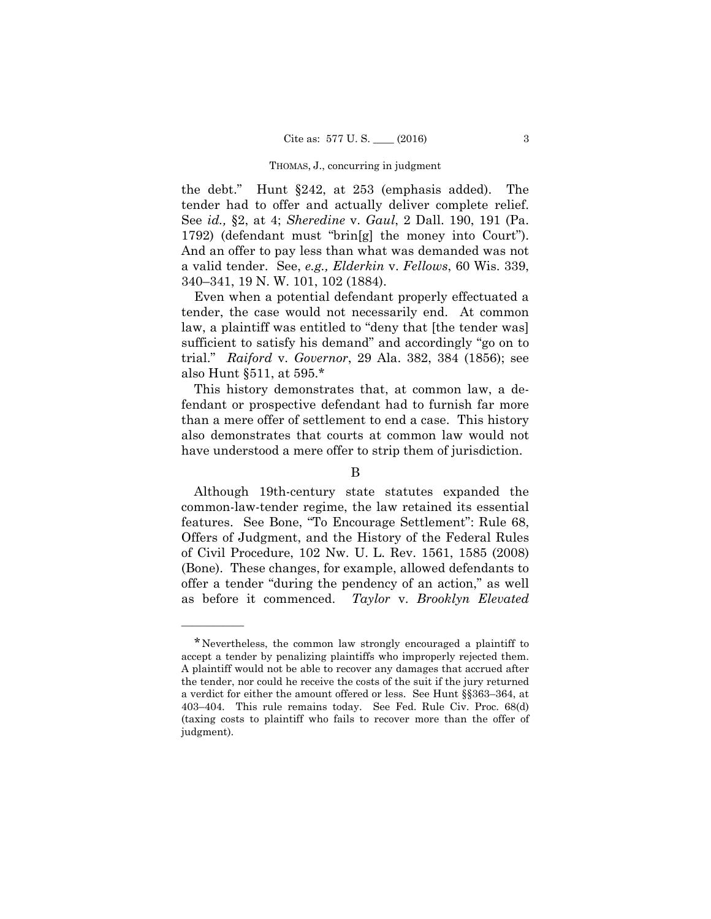the debt." Hunt §242, at 253 (emphasis added). The tender had to offer and actually deliver complete relief. See *id.,* §2, at 4; *Sheredine* v. *Gaul*, 2 Dall. 190, 191 (Pa. 1792) (defendant must "brin[g] the money into Court"). And an offer to pay less than what was demanded was not a valid tender. See, *e.g., Elderkin* v. *Fellows*, 60 Wis. 339, 340–341, 19 N. W. 101, 102 (1884).

Even when a potential defendant properly effectuated a tender, the case would not necessarily end. At common law, a plaintiff was entitled to "deny that [the tender was] sufficient to satisfy his demand" and accordingly "go on to trial." *Raiford* v. *Governor*, 29 Ala. 382, 384 (1856); see also Hunt §511, at 595.\*

This history demonstrates that, at common law, a defendant or prospective defendant had to furnish far more than a mere offer of settlement to end a case. This history also demonstrates that courts at common law would not have understood a mere offer to strip them of jurisdiction.

# B

Although 19th-century state statutes expanded the common-law-tender regime, the law retained its essential features. See Bone, "To Encourage Settlement": Rule 68, Offers of Judgment, and the History of the Federal Rules of Civil Procedure, 102 Nw. U. L. Rev. 1561, 1585 (2008) (Bone). These changes, for example, allowed defendants to offer a tender "during the pendency of an action," as well as before it commenced. *Taylor* v. *Brooklyn Elevated* 

<sup>\*</sup>Nevertheless, the common law strongly encouraged a plaintiff to accept a tender by penalizing plaintiffs who improperly rejected them. A plaintiff would not be able to recover any damages that accrued after the tender, nor could he receive the costs of the suit if the jury returned a verdict for either the amount offered or less. See Hunt §§363–364, at 403–404. This rule remains today. See Fed. Rule Civ. Proc. 68(d) (taxing costs to plaintiff who fails to recover more than the offer of judgment).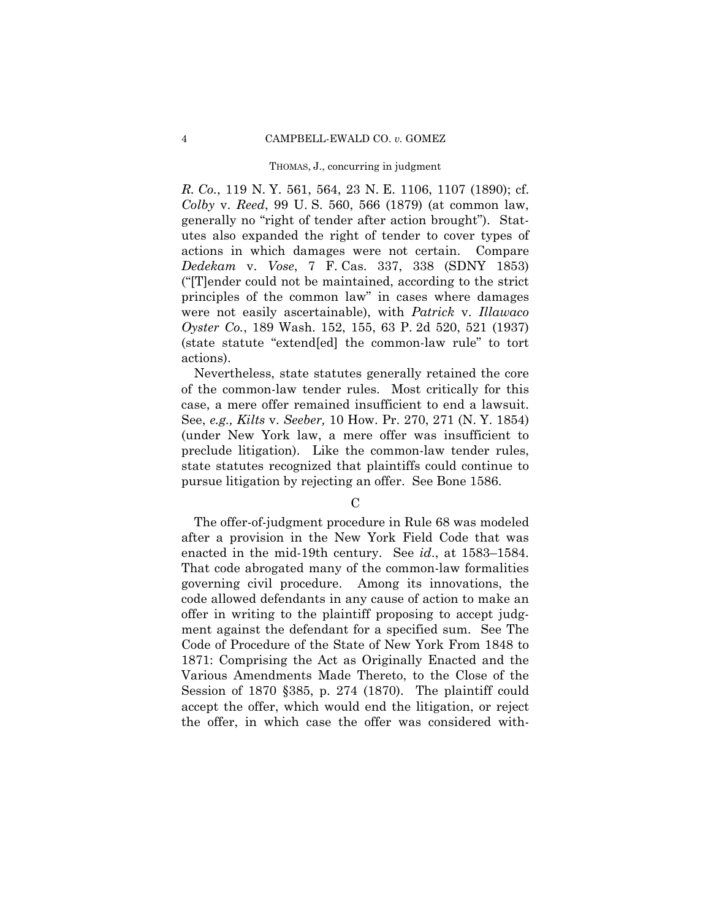*R. Co.*, 119 N. Y. 561, 564, 23 N. E. 1106, 1107 (1890); cf. *Colby* v. *Reed*, 99 U. S. 560, 566 (1879) (at common law, generally no "right of tender after action brought"). Statutes also expanded the right of tender to cover types of actions in which damages were not certain. Compare *Dedekam* v. *Vose*, 7 F. Cas. 337, 338 (SDNY 1853) ("[T]ender could not be maintained, according to the strict principles of the common law" in cases where damages were not easily ascertainable), with *Patrick* v. *Illawaco Oyster Co.*, 189 Wash. 152, 155, 63 P. 2d 520, 521 (1937) (state statute "extend[ed] the common-law rule" to tort actions).

Nevertheless, state statutes generally retained the core of the common-law tender rules. Most critically for this case, a mere offer remained insufficient to end a lawsuit. See, *e.g., Kilts* v. *Seeber,* 10 How. Pr. 270, 271 (N. Y. 1854) (under New York law, a mere offer was insufficient to preclude litigation). Like the common-law tender rules, state statutes recognized that plaintiffs could continue to pursue litigation by rejecting an offer. See Bone 1586.

 $\mathcal{C}$ 

The offer-of-judgment procedure in Rule 68 was modeled after a provision in the New York Field Code that was enacted in the mid-19th century. See *id*., at 1583–1584. That code abrogated many of the common-law formalities governing civil procedure. Among its innovations, the code allowed defendants in any cause of action to make an offer in writing to the plaintiff proposing to accept judgment against the defendant for a specified sum. See The Code of Procedure of the State of New York From 1848 to 1871: Comprising the Act as Originally Enacted and the Various Amendments Made Thereto, to the Close of the Session of 1870 §385, p. 274 (1870). The plaintiff could accept the offer, which would end the litigation, or reject the offer, in which case the offer was considered with-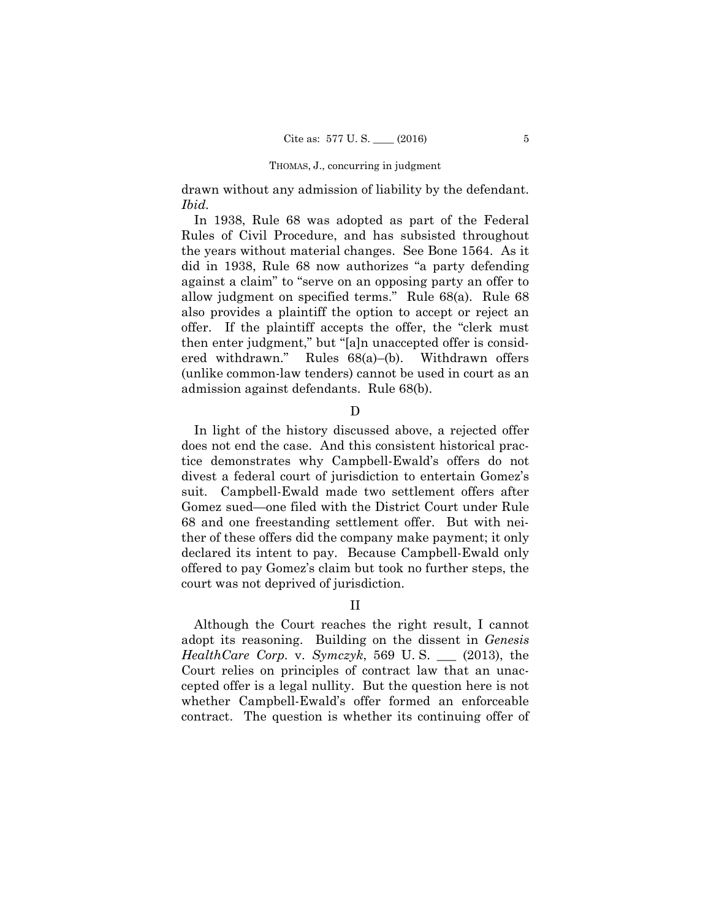drawn without any admission of liability by the defendant. *Ibid.* 

In 1938, Rule 68 was adopted as part of the Federal Rules of Civil Procedure, and has subsisted throughout the years without material changes. See Bone 1564. As it did in 1938, Rule 68 now authorizes "a party defending against a claim" to "serve on an opposing party an offer to allow judgment on specified terms." Rule 68(a). Rule 68 also provides a plaintiff the option to accept or reject an offer. If the plaintiff accepts the offer, the "clerk must then enter judgment," but "[a]n unaccepted offer is considered withdrawn." Rules 68(a)–(b). Withdrawn offers (unlike common-law tenders) cannot be used in court as an admission against defendants. Rule 68(b).

D

In light of the history discussed above, a rejected offer does not end the case. And this consistent historical practice demonstrates why Campbell-Ewald's offers do not divest a federal court of jurisdiction to entertain Gomez's suit. Campbell-Ewald made two settlement offers after Gomez sued—one filed with the District Court under Rule 68 and one freestanding settlement offer. But with neither of these offers did the company make payment; it only declared its intent to pay. Because Campbell-Ewald only offered to pay Gomez's claim but took no further steps, the court was not deprived of jurisdiction.

# II

Although the Court reaches the right result, I cannot adopt its reasoning. Building on the dissent in *Genesis HealthCare Corp.* v. *Symczyk*, 569 U. S. \_\_\_ (2013), the Court relies on principles of contract law that an unaccepted offer is a legal nullity. But the question here is not whether Campbell-Ewald's offer formed an enforceable contract. The question is whether its continuing offer of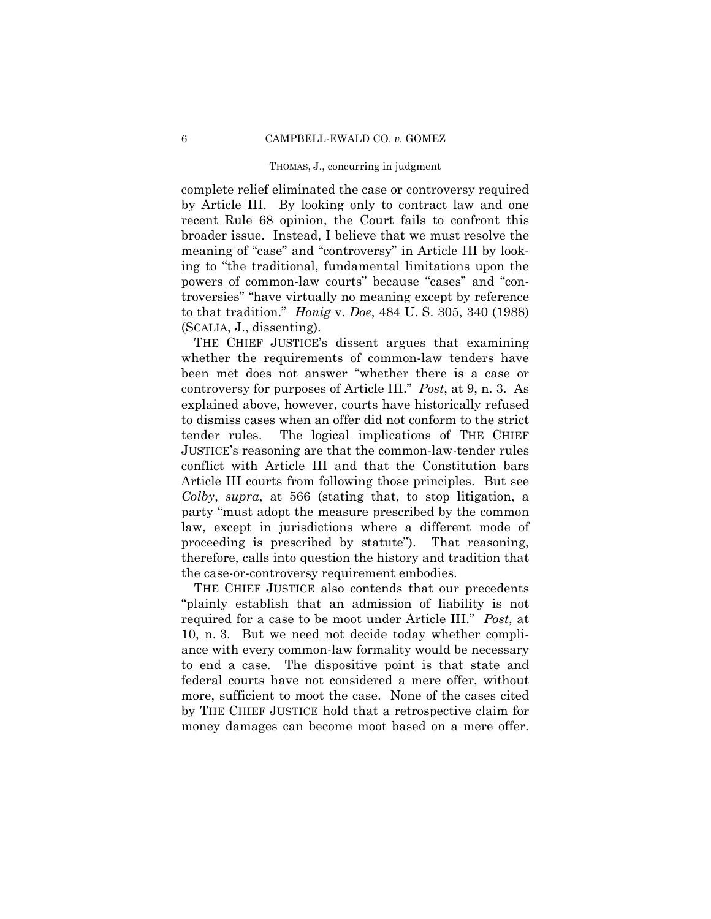complete relief eliminated the case or controversy required by Article III. By looking only to contract law and one recent Rule 68 opinion, the Court fails to confront this broader issue. Instead, I believe that we must resolve the meaning of "case" and "controversy" in Article III by looking to "the traditional, fundamental limitations upon the powers of common-law courts" because "cases" and "controversies" "have virtually no meaning except by reference to that tradition." *Honig* v. *Doe*, 484 U. S. 305, 340 (1988) (SCALIA, J., dissenting).

THE CHIEF JUSTICE's dissent argues that examining whether the requirements of common-law tenders have been met does not answer "whether there is a case or controversy for purposes of Article III." *Post*, at 9, n. 3. As explained above, however, courts have historically refused to dismiss cases when an offer did not conform to the strict tender rules. The logical implications of THE CHIEF JUSTICE's reasoning are that the common-law-tender rules conflict with Article III and that the Constitution bars Article III courts from following those principles. But see *Colby*, *supra*, at 566 (stating that, to stop litigation, a party "must adopt the measure prescribed by the common law, except in jurisdictions where a different mode of proceeding is prescribed by statute"). That reasoning, therefore, calls into question the history and tradition that the case-or-controversy requirement embodies.

THE CHIEF JUSTICE also contends that our precedents "plainly establish that an admission of liability is not required for a case to be moot under Article III." *Post*, at 10, n. 3. But we need not decide today whether compliance with every common-law formality would be necessary to end a case. The dispositive point is that state and federal courts have not considered a mere offer, without more, sufficient to moot the case. None of the cases cited by THE CHIEF JUSTICE hold that a retrospective claim for money damages can become moot based on a mere offer.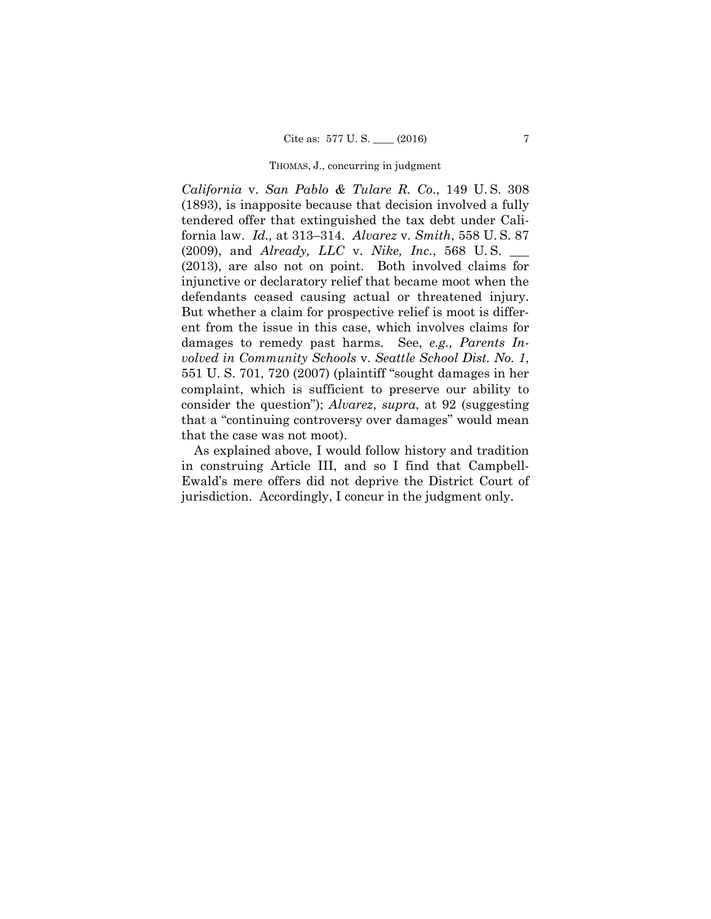*California* v. *San Pablo & Tulare R. Co*., 149 U. S. 308 (1893), is inapposite because that decision involved a fully tendered offer that extinguished the tax debt under California law. *Id.,* at 313–314. *Alvarez* v. *Smith*, 558 U. S. 87 (2009), and *Already, LLC* v. *Nike, Inc.*, 568 U. S. \_\_\_ (2013), are also not on point. Both involved claims for injunctive or declaratory relief that became moot when the defendants ceased causing actual or threatened injury. But whether a claim for prospective relief is moot is different from the issue in this case, which involves claims for damages to remedy past harms. See, *e.g., Parents Involved in Community Schools* v. *Seattle School Dist. No. 1*, 551 U. S. 701, 720 (2007) (plaintiff "sought damages in her complaint, which is sufficient to preserve our ability to consider the question"); *Alvarez*, *supra*, at 92 (suggesting that a "continuing controversy over damages" would mean that the case was not moot).

As explained above, I would follow history and tradition in construing Article III, and so I find that Campbell-Ewald's mere offers did not deprive the District Court of jurisdiction. Accordingly, I concur in the judgment only.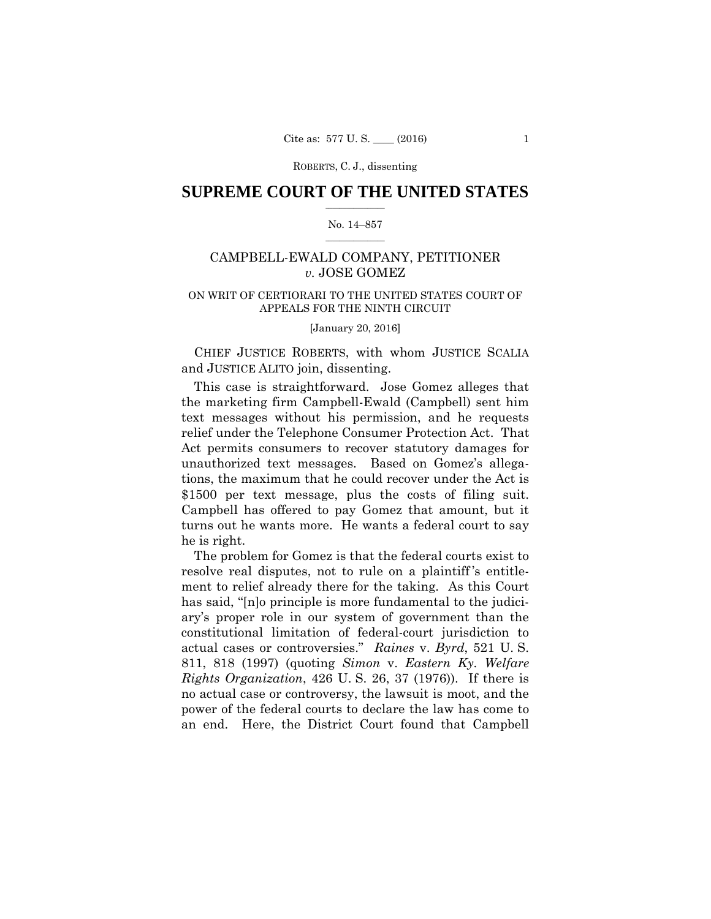# $\frac{1}{2}$  ,  $\frac{1}{2}$  ,  $\frac{1}{2}$  ,  $\frac{1}{2}$  ,  $\frac{1}{2}$  ,  $\frac{1}{2}$  ,  $\frac{1}{2}$ **SUPREME COURT OF THE UNITED STATES**

#### $\frac{1}{2}$  ,  $\frac{1}{2}$  ,  $\frac{1}{2}$  ,  $\frac{1}{2}$  ,  $\frac{1}{2}$  ,  $\frac{1}{2}$ No. 14–857

# CAMPBELL-EWALD COMPANY, PETITIONER *v.* JOSE GOMEZ

# APPEALS FOR THE NINTH CIRCUIT<br>[January 20, 2016] ON WRIT OF CERTIORARI TO THE UNITED STATES COURT OF

 CHIEF JUSTICE ROBERTS, with whom JUSTICE SCALIA and JUSTICE ALITO join, dissenting.

This case is straightforward. Jose Gomez alleges that the marketing firm Campbell-Ewald (Campbell) sent him text messages without his permission, and he requests relief under the Telephone Consumer Protection Act. That Act permits consumers to recover statutory damages for unauthorized text messages. Based on Gomez's allegations, the maximum that he could recover under the Act is \$1500 per text message, plus the costs of filing suit. Campbell has offered to pay Gomez that amount, but it turns out he wants more. He wants a federal court to say he is right.

The problem for Gomez is that the federal courts exist to resolve real disputes, not to rule on a plaintiff 's entitlement to relief already there for the taking. As this Court has said, "[n]o principle is more fundamental to the judiciary's proper role in our system of government than the constitutional limitation of federal-court jurisdiction to actual cases or controversies." *Raines* v. *Byrd*, 521 U. S. 811, 818 (1997) (quoting *Simon* v. *Eastern Ky. Welfare Rights Organization*, 426 U. S. 26, 37 (1976)). If there is no actual case or controversy, the lawsuit is moot, and the power of the federal courts to declare the law has come to an end. Here, the District Court found that Campbell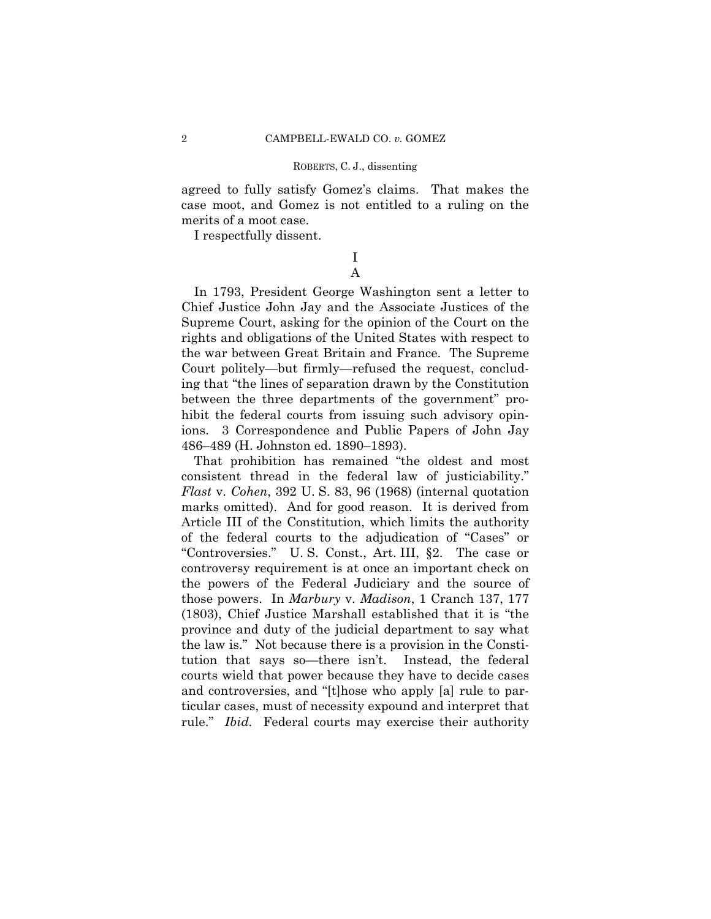agreed to fully satisfy Gomez's claims. That makes the case moot, and Gomez is not entitled to a ruling on the merits of a moot case.

I respectfully dissent.

# I A

In 1793, President George Washington sent a letter to Chief Justice John Jay and the Associate Justices of the Supreme Court, asking for the opinion of the Court on the rights and obligations of the United States with respect to the war between Great Britain and France. The Supreme Court politely—but firmly—refused the request, concluding that "the lines of separation drawn by the Constitution between the three departments of the government" prohibit the federal courts from issuing such advisory opinions. 3 Correspondence and Public Papers of John Jay 486–489 (H. Johnston ed. 1890–1893).

That prohibition has remained "the oldest and most consistent thread in the federal law of justiciability." *Flast* v. *Cohen*, 392 U. S. 83, 96 (1968) (internal quotation marks omitted). And for good reason. It is derived from Article III of the Constitution, which limits the authority of the federal courts to the adjudication of "Cases" or "Controversies." U. S. Const., Art. III, §2. The case or controversy requirement is at once an important check on the powers of the Federal Judiciary and the source of those powers. In *Marbury* v. *Madison*, 1 Cranch 137, 177 (1803), Chief Justice Marshall established that it is "the province and duty of the judicial department to say what the law is." Not because there is a provision in the Constitution that says so—there isn't. Instead, the federal courts wield that power because they have to decide cases and controversies, and "[t]hose who apply [a] rule to particular cases, must of necessity expound and interpret that rule." *Ibid.* Federal courts may exercise their authority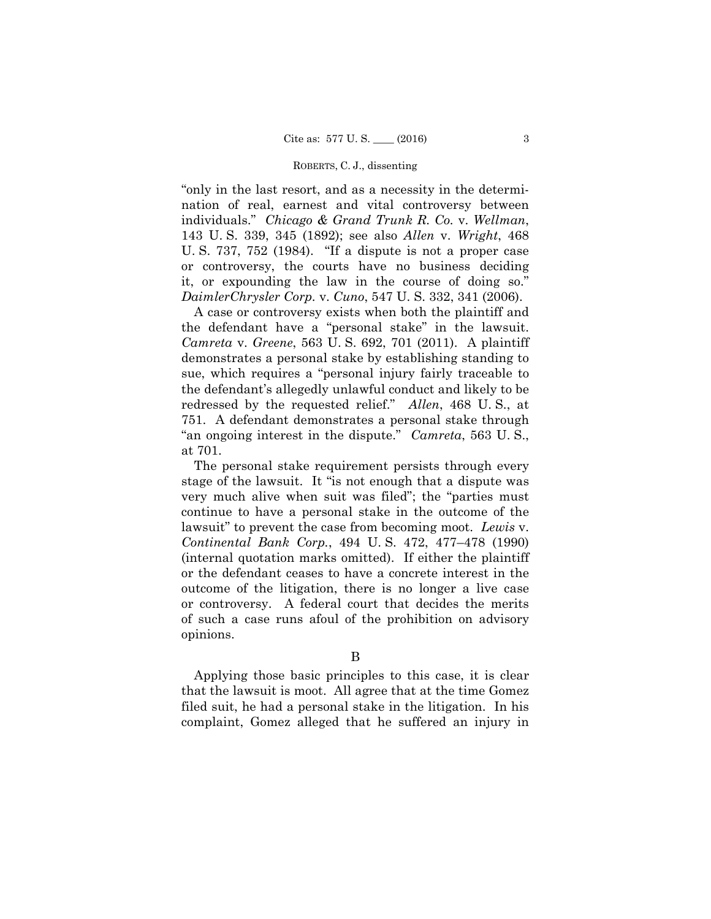or controversy, the courts have no business deciding "only in the last resort, and as a necessity in the determination of real, earnest and vital controversy between individuals." *Chicago & Grand Trunk R. Co.* v. *Wellman*, 143 U. S. 339, 345 (1892); see also *Allen* v. *Wright*, 468 U. S. 737, 752 (1984). "If a dispute is not a proper case it, or expounding the law in the course of doing so." *DaimlerChrysler Corp.* v. *Cuno*, 547 U. S. 332, 341 (2006).

A case or controversy exists when both the plaintiff and the defendant have a "personal stake" in the lawsuit. *Camreta* v. *Greene*, 563 U. S. 692, 701 (2011). A plaintiff demonstrates a personal stake by establishing standing to sue, which requires a "personal injury fairly traceable to the defendant's allegedly unlawful conduct and likely to be redressed by the requested relief." *Allen*, 468 U. S., at 751. A defendant demonstrates a personal stake through "an ongoing interest in the dispute." *Camreta*, 563 U. S., at 701.

outcome of the litigation, there is no longer a live case or controversy. A federal court that decides the merits The personal stake requirement persists through every stage of the lawsuit. It "is not enough that a dispute was very much alive when suit was filed"; the "parties must continue to have a personal stake in the outcome of the lawsuit" to prevent the case from becoming moot. *Lewis* v. *Continental Bank Corp.*, 494 U. S. 472, 477–478 (1990) (internal quotation marks omitted). If either the plaintiff or the defendant ceases to have a concrete interest in the of such a case runs a foul of the prohibition on advisory. opinions.

Applying those basic principles to this case, it is clear that the lawsuit is moot. All agree that at the time Gomez filed suit, he had a personal stake in the litigation. In his complaint, Gomez alleged that he suffered an injury in

B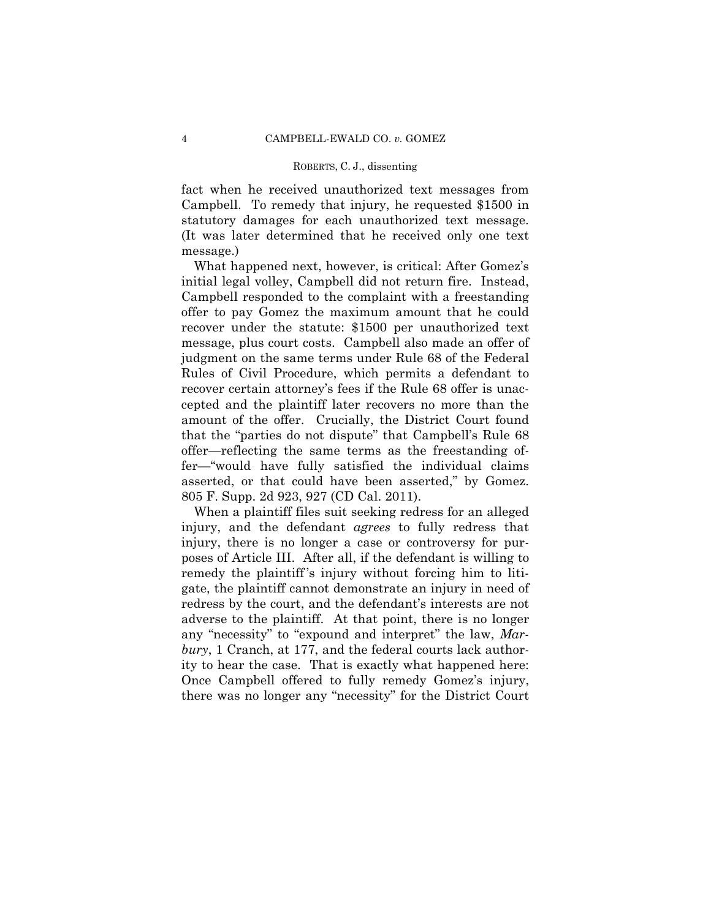fact when he received unauthorized text messages from Campbell. To remedy that injury, he requested \$1500 in statutory damages for each unauthorized text message. (It was later determined that he received only one text message.)

What happened next, however, is critical: After Gomez's initial legal volley, Campbell did not return fire. Instead, Campbell responded to the complaint with a freestanding offer to pay Gomez the maximum amount that he could recover under the statute: \$1500 per unauthorized text message, plus court costs. Campbell also made an offer of judgment on the same terms under Rule 68 of the Federal Rules of Civil Procedure, which permits a defendant to recover certain attorney's fees if the Rule 68 offer is unaccepted and the plaintiff later recovers no more than the amount of the offer. Crucially, the District Court found that the "parties do not dispute" that Campbell's Rule 68 offer—reflecting the same terms as the freestanding offer—"would have fully satisfied the individual claims asserted, or that could have been asserted," by Gomez. 805 F. Supp. 2d 923, 927 (CD Cal. 2011).

When a plaintiff files suit seeking redress for an alleged injury, and the defendant *agrees* to fully redress that injury, there is no longer a case or controversy for purposes of Article III. After all, if the defendant is willing to remedy the plaintiff 's injury without forcing him to litigate, the plaintiff cannot demonstrate an injury in need of redress by the court, and the defendant's interests are not adverse to the plaintiff. At that point, there is no longer any "necessity" to "expound and interpret" the law, *Marbury*, 1 Cranch, at 177, and the federal courts lack authority to hear the case. That is exactly what happened here: Once Campbell offered to fully remedy Gomez's injury, there was no longer any "necessity" for the District Court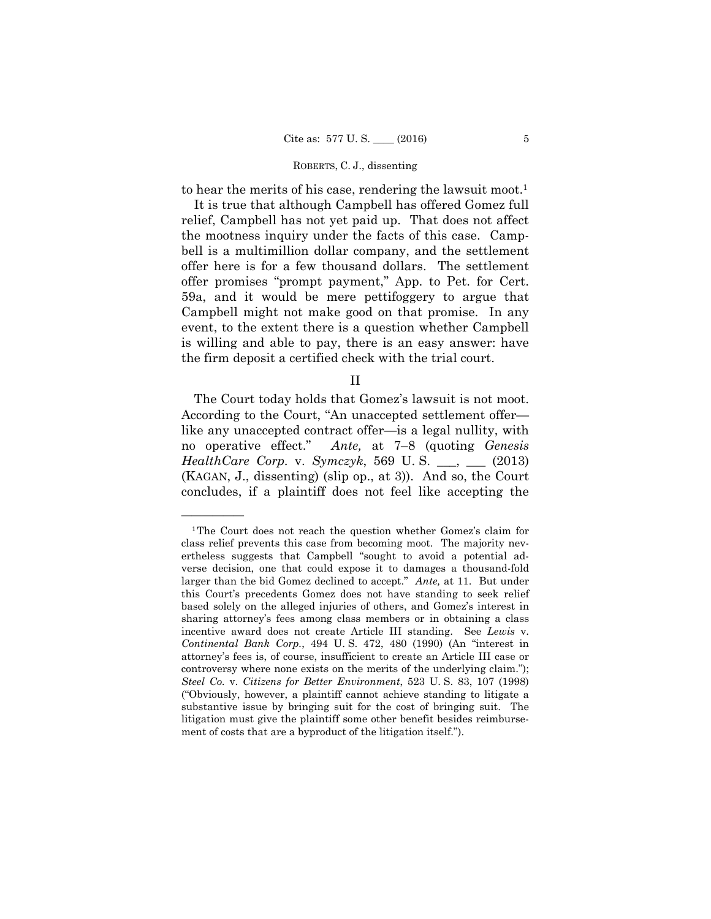to hear the merits of his case, rendering the lawsuit moot.<sup>1</sup>

It is true that although Campbell has offered Gomez full relief, Campbell has not yet paid up. That does not affect the mootness inquiry under the facts of this case. Campbell is a multimillion dollar company, and the settlement offer here is for a few thousand dollars. The settlement offer promises "prompt payment," App. to Pet. for Cert. 59a, and it would be mere pettifoggery to argue that Campbell might not make good on that promise. In any event, to the extent there is a question whether Campbell is willing and able to pay, there is an easy answer: have the firm deposit a certified check with the trial court.

II

The Court today holds that Gomez's lawsuit is not moot. According to the Court, "An unaccepted settlement offer like any unaccepted contract offer—is a legal nullity, with no operative effect." *Ante,* at 7–8 (quoting *Genesis HealthCare Corp.* v. *Symczyk*, 569 U. S. \_\_\_, \_\_\_ (2013) (KAGAN, J., dissenting) (slip op., at 3)). And so, the Court concludes, if a plaintiff does not feel like accepting the

 substantive issue by bringing suit for the cost of bringing suit. The 1The Court does not reach the question whether Gomez's claim for class relief prevents this case from becoming moot. The majority nevertheless suggests that Campbell "sought to avoid a potential adverse decision, one that could expose it to damages a thousand-fold larger than the bid Gomez declined to accept." *Ante,* at 11. But under this Court's precedents Gomez does not have standing to seek relief based solely on the alleged injuries of others, and Gomez's interest in sharing attorney's fees among class members or in obtaining a class incentive award does not create Article III standing. See *Lewis* v. *Continental Bank Corp.*, 494 U. S. 472, 480 (1990) (An "interest in attorney's fees is, of course, insufficient to create an Article III case or controversy where none exists on the merits of the underlying claim."); *Steel Co.* v. *Citizens for Better Environment*, 523 U. S. 83, 107 (1998) ("Obviously, however, a plaintiff cannot achieve standing to litigate a litigation must give the plaintiff some other benefit besides reimbursement of costs that are a byproduct of the litigation itself.").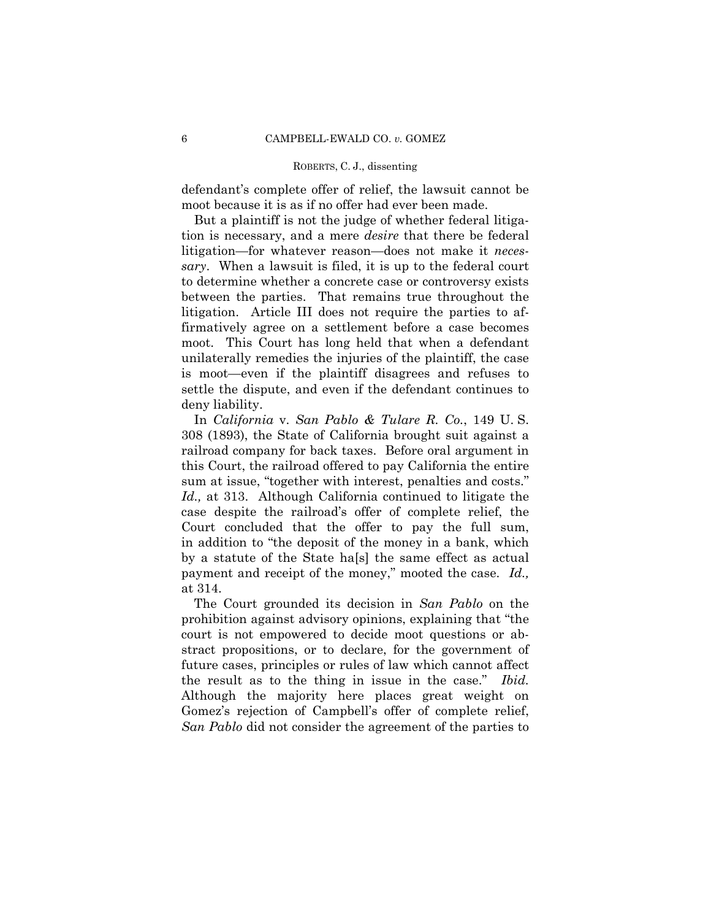defendant's complete offer of relief, the lawsuit cannot be moot because it is as if no offer had ever been made.

But a plaintiff is not the judge of whether federal litigation is necessary, and a mere *desire* that there be federal litigation—for whatever reason—does not make it *necessary*. When a lawsuit is filed, it is up to the federal court to determine whether a concrete case or controversy exists between the parties. That remains true throughout the litigation. Article III does not require the parties to affirmatively agree on a settlement before a case becomes moot. This Court has long held that when a defendant unilaterally remedies the injuries of the plaintiff, the case is moot—even if the plaintiff disagrees and refuses to settle the dispute, and even if the defendant continues to deny liability.

In *California* v. *San Pablo & Tulare R. Co.*, 149 U. S. 308 (1893), the State of California brought suit against a railroad company for back taxes. Before oral argument in this Court, the railroad offered to pay California the entire sum at issue, "together with interest, penalties and costs." *Id.,* at 313. Although California continued to litigate the case despite the railroad's offer of complete relief, the Court concluded that the offer to pay the full sum, in addition to "the deposit of the money in a bank, which by a statute of the State ha[s] the same effect as actual payment and receipt of the money," mooted the case. *Id.,*  at 314.

The Court grounded its decision in *San Pablo* on the prohibition against advisory opinions, explaining that "the court is not empowered to decide moot questions or abstract propositions, or to declare, for the government of future cases, principles or rules of law which cannot affect the result as to the thing in issue in the case." *Ibid.* Although the majority here places great weight on Gomez's rejection of Campbell's offer of complete relief, *San Pablo* did not consider the agreement of the parties to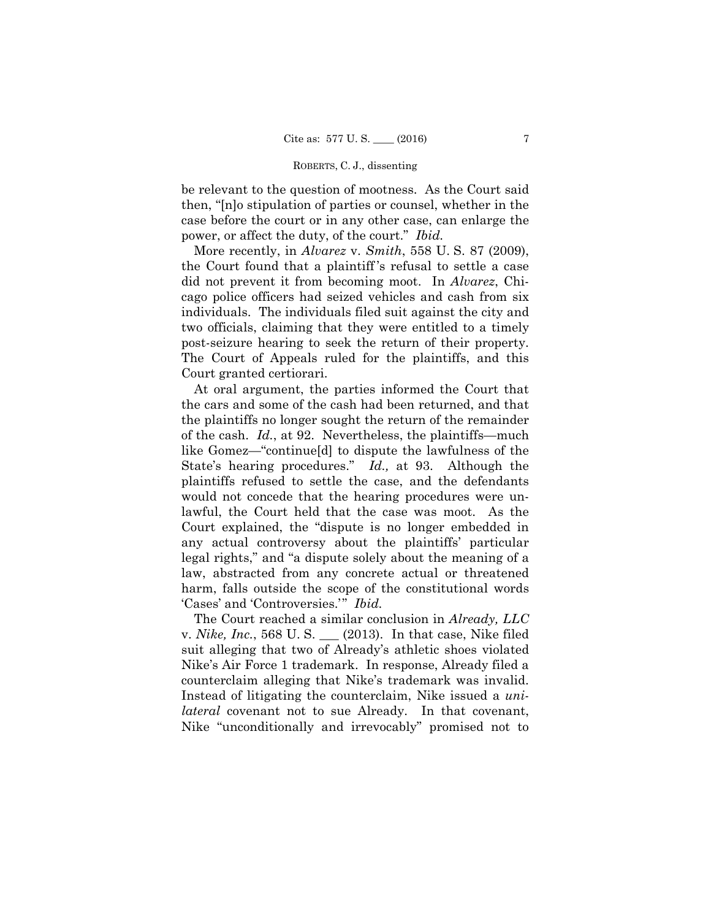be relevant to the question of mootness. As the Court said then, "[n]o stipulation of parties or counsel, whether in the case before the court or in any other case, can enlarge the power, or affect the duty, of the court." *Ibid.* 

More recently, in *Alvarez* v. *Smith*, 558 U. S. 87 (2009), the Court found that a plaintiff 's refusal to settle a case did not prevent it from becoming moot. In *Alvarez*, Chicago police officers had seized vehicles and cash from six individuals. The individuals filed suit against the city and two officials, claiming that they were entitled to a timely post-seizure hearing to seek the return of their property. The Court of Appeals ruled for the plaintiffs, and this Court granted certiorari.

At oral argument, the parties informed the Court that the cars and some of the cash had been returned, and that the plaintiffs no longer sought the return of the remainder of the cash. *Id.*, at 92. Nevertheless, the plaintiffs—much like Gomez—"continue[d] to dispute the lawfulness of the State's hearing procedures." *Id.,* at 93. Although the plaintiffs refused to settle the case, and the defendants would not concede that the hearing procedures were unlawful, the Court held that the case was moot. As the Court explained, the "dispute is no longer embedded in any actual controversy about the plaintiffs' particular legal rights," and "a dispute solely about the meaning of a law, abstracted from any concrete actual or threatened harm, falls outside the scope of the constitutional words 'Cases' and 'Controversies.'" *Ibid.* 

The Court reached a similar conclusion in *Already, LLC*  v. *Nike, Inc.*, 568 U. S. \_\_\_ (2013). In that case, Nike filed suit alleging that two of Already's athletic shoes violated Nike's Air Force 1 trademark. In response, Already filed a counterclaim alleging that Nike's trademark was invalid. Instead of litigating the counterclaim, Nike issued a *unilateral* covenant not to sue Already. In that covenant, Nike "unconditionally and irrevocably" promised not to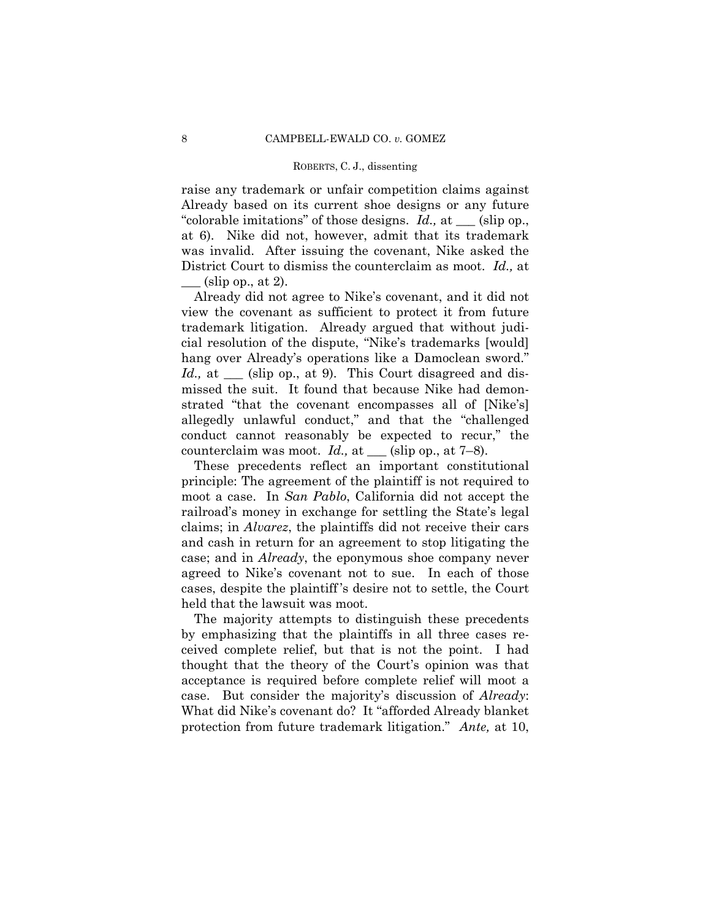raise any trademark or unfair competition claims against Already based on its current shoe designs or any future "colorable imitations" of those designs. *Id.,* at \_\_\_ (slip op., at 6). Nike did not, however, admit that its trademark was invalid. After issuing the covenant, Nike asked the District Court to dismiss the counterclaim as moot. *Id.,* at

 $(\text{slip op.}, \text{at 2}).$ 

Already did not agree to Nike's covenant, and it did not view the covenant as sufficient to protect it from future trademark litigation. Already argued that without judicial resolution of the dispute, "Nike's trademarks [would] hang over Already's operations like a Damoclean sword." *Id.*, at <u>\_\_\_</u> (slip op., at 9). This Court disagreed and dismissed the suit. It found that because Nike had demonstrated "that the covenant encompasses all of [Nike's] allegedly unlawful conduct," and that the "challenged conduct cannot reasonably be expected to recur," the counterclaim was moot.  $Id$ , at  $\_\_$  (slip op., at 7–8).

These precedents reflect an important constitutional principle: The agreement of the plaintiff is not required to moot a case. In *San Pablo*, California did not accept the railroad's money in exchange for settling the State's legal claims; in *Alvarez*, the plaintiffs did not receive their cars and cash in return for an agreement to stop litigating the case; and in *Already*, the eponymous shoe company never agreed to Nike's covenant not to sue. In each of those cases, despite the plaintiff 's desire not to settle, the Court held that the lawsuit was moot.

The majority attempts to distinguish these precedents by emphasizing that the plaintiffs in all three cases received complete relief, but that is not the point. I had thought that the theory of the Court's opinion was that acceptance is required before complete relief will moot a case. But consider the majority's discussion of *Already*: What did Nike's covenant do? It "afforded Already blanket protection from future trademark litigation." *Ante,* at 10,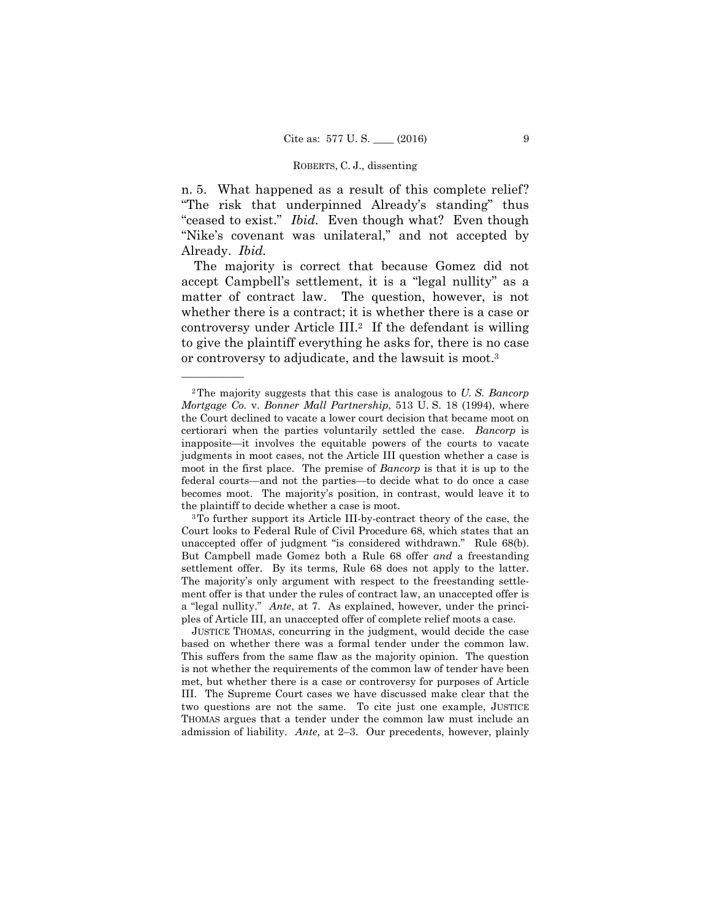n. 5. What happened as a result of this complete relief? "The risk that underpinned Already's standing" thus "ceased to exist." *Ibid.* Even though what? Even though "Nike's covenant was unilateral," and not accepted by Already. *Ibid.* 

The majority is correct that because Gomez did not accept Campbell's settlement, it is a "legal nullity" as a matter of contract law. The question, however, is not whether there is a contract; it is whether there is a case or controversy under Article III.2 If the defendant is willing to give the plaintiff everything he asks for, there is no case or controversy to adjudicate, and the lawsuit is moot.3

 moot in the first place. The premise of *Bancorp* is that it is up to the 2The majority suggests that this case is analogous to *U. S. Bancorp Mortgage Co.* v. *Bonner Mall Partnership*, 513 U. S. 18 (1994), where the Court declined to vacate a lower court decision that became moot on certiorari when the parties voluntarily settled the case. *Bancorp* is inapposite—it involves the equitable powers of the courts to vacate judgments in moot cases, not the Article III question whether a case is federal courts—and not the parties—to decide what to do once a case becomes moot. The majority's position, in contrast, would leave it to the plaintiff to decide whether a case is moot.<br><sup>3</sup>To further support its Article III-by-contract theory of the case, the

unaccepted offer of judgment "is considered withdrawn." Rule 68(b). settlement offer. By its terms, Rule 68 does not apply to the latter. The majority's only argument with respect to the freestanding settle-Court looks to Federal Rule of Civil Procedure 68, which states that an But Campbell made Gomez both a Rule 68 offer *and* a freestanding ment offer is that under the rules of contract law, an unaccepted offer is a "legal nullity." *Ante*, at 7. As explained, however, under the principles of Article III, an unaccepted offer of complete relief moots a case.

 based on whether there was a formal tender under the common law. This suffers from the same flaw as the majority opinion. The question admission of liability. *Ante,* at 2–3. Our precedents, however, plainly JUSTICE THOMAS, concurring in the judgment, would decide the case is not whether the requirements of the common law of tender have been met, but whether there is a case or controversy for purposes of Article III. The Supreme Court cases we have discussed make clear that the two questions are not the same. To cite just one example, JUSTICE THOMAS argues that a tender under the common law must include an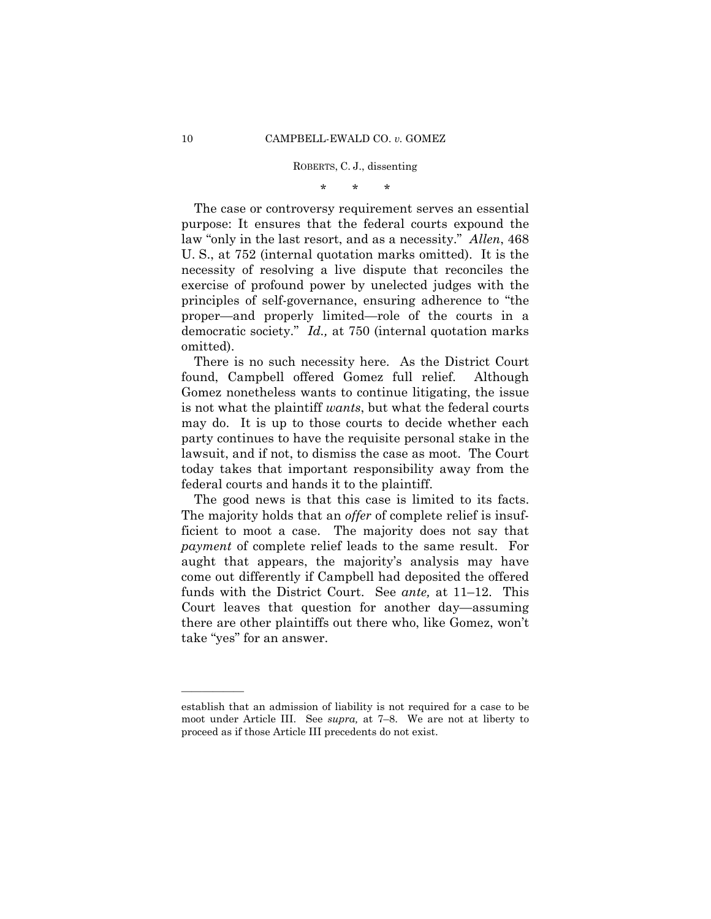\* \* \*

The case or controversy requirement serves an essential purpose: It ensures that the federal courts expound the law "only in the last resort, and as a necessity." *Allen*, 468 U. S., at 752 (internal quotation marks omitted). It is the necessity of resolving a live dispute that reconciles the exercise of profound power by unelected judges with the principles of self-governance, ensuring adherence to "the proper—and properly limited—role of the courts in a democratic society." *Id.,* at 750 (internal quotation marks omitted).

There is no such necessity here. As the District Court found, Campbell offered Gomez full relief. Although Gomez nonetheless wants to continue litigating, the issue is not what the plaintiff *wants*, but what the federal courts may do. It is up to those courts to decide whether each party continues to have the requisite personal stake in the lawsuit, and if not, to dismiss the case as moot. The Court today takes that important responsibility away from the federal courts and hands it to the plaintiff.

The good news is that this case is limited to its facts. The majority holds that an *offer* of complete relief is insufficient to moot a case. The majority does not say that *payment* of complete relief leads to the same result. For aught that appears, the majority's analysis may have come out differently if Campbell had deposited the offered funds with the District Court. See *ante,* at 11–12. This Court leaves that question for another day—assuming there are other plaintiffs out there who, like Gomez, won't take "yes" for an answer.

establish that an admission of liability is not required for a case to be moot under Article III. See *supra,* at 7–8. We are not at liberty to proceed as if those Article III precedents do not exist.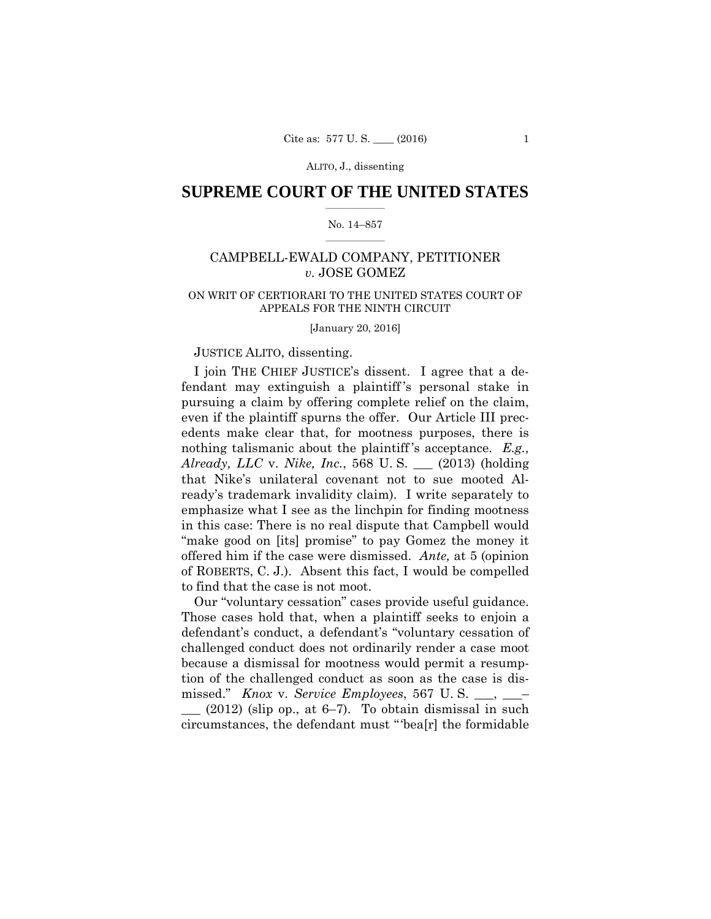# $\frac{1}{2}$  ,  $\frac{1}{2}$  ,  $\frac{1}{2}$  ,  $\frac{1}{2}$  ,  $\frac{1}{2}$  ,  $\frac{1}{2}$  ,  $\frac{1}{2}$ **SUPREME COURT OF THE UNITED STATES**

#### $\frac{1}{2}$  ,  $\frac{1}{2}$  ,  $\frac{1}{2}$  ,  $\frac{1}{2}$  ,  $\frac{1}{2}$  ,  $\frac{1}{2}$ No. 14–857

# CAMPBELL-EWALD COMPANY, PETITIONER *v.* JOSE GOMEZ

# ON WRIT OF CERTIORARI TO THE UNITED STATES COURT OF APPEALS FOR THE NINTH CIRCUIT

[January 20, 2016]

# JUSTICE ALITO, dissenting.

I join THE CHIEF JUSTICE's dissent. I agree that a defendant may extinguish a plaintiff 's personal stake in pursuing a claim by offering complete relief on the claim, even if the plaintiff spurns the offer. Our Article III precedents make clear that, for mootness purposes, there is nothing talismanic about the plaintiff 's acceptance. *E.g., Already, LLC* v. *Nike, Inc.*, 568 U. S. \_\_\_ (2013) (holding that Nike's unilateral covenant not to sue mooted Already's trademark invalidity claim). I write separately to emphasize what I see as the linchpin for finding mootness in this case: There is no real dispute that Campbell would "make good on [its] promise" to pay Gomez the money it offered him if the case were dismissed. *Ante,* at 5 (opinion of ROBERTS, C. J.). Absent this fact, I would be compelled to find that the case is not moot.

 Our "voluntary cessation" cases provide useful guidance. Those cases hold that, when a plaintiff seeks to enjoin a defendant's conduct, a defendant's "voluntary cessation of challenged conduct does not ordinarily render a case moot because a dismissal for mootness would permit a resumption of the challenged conduct as soon as the case is dismissed." *Knox* v. *Service Employees*, 567 U. S. \_\_\_, \_\_\_–  $(2012)$  (slip op., at 6–7). To obtain dismissal in such

circumstances, the defendant must "'bea[r] the formidable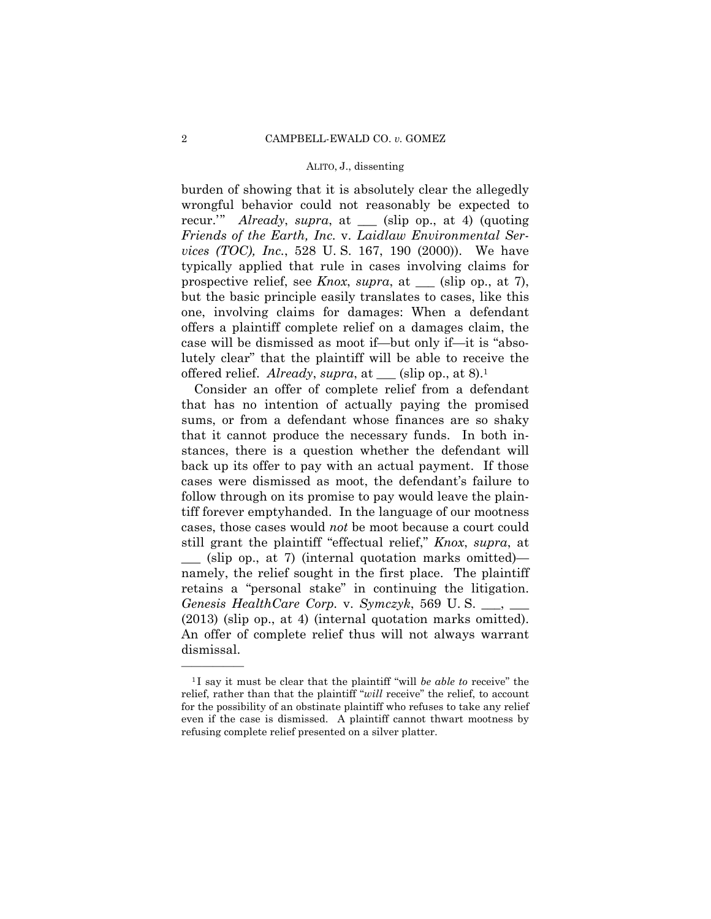burden of showing that it is absolutely clear the allegedly wrongful behavior could not reasonably be expected to recur.'" *Already*, *supra*, at \_\_\_ (slip op., at 4) (quoting *Friends of the Earth, Inc.* v. *Laidlaw Environmental Services (TOC), Inc.*, 528 U. S. 167, 190 (2000)). We have typically applied that rule in cases involving claims for prospective relief, see *Knox*, *supra*, at \_\_\_ (slip op., at 7), but the basic principle easily translates to cases, like this one, involving claims for damages: When a defendant offers a plaintiff complete relief on a damages claim, the case will be dismissed as moot if—but only if—it is "absolutely clear" that the plaintiff will be able to receive the offered relief. *Already*, *supra*, at \_\_\_ (slip op., at 8).1

 retains a "personal stake" in continuing the litigation. (2013) (slip op., at 4) (internal quotation marks omitted). Consider an offer of complete relief from a defendant that has no intention of actually paying the promised sums, or from a defendant whose finances are so shaky that it cannot produce the necessary funds. In both instances, there is a question whether the defendant will back up its offer to pay with an actual payment. If those cases were dismissed as moot, the defendant's failure to follow through on its promise to pay would leave the plaintiff forever emptyhanded. In the language of our mootness cases, those cases would *not* be moot because a court could still grant the plaintiff "effectual relief," *Knox*, *supra*, at \_\_\_ (slip op., at 7) (internal quotation marks omitted) namely, the relief sought in the first place. The plaintiff *Genesis HealthCare Corp.* v. *Symczyk*, 569 U. S. \_\_\_, \_\_\_ An offer of complete relief thus will not always warrant dismissal.

<sup>&</sup>lt;sup>1</sup>I say it must be clear that the plaintiff "will *be able to* receive" the relief, rather than that the plaintiff "*will* receive" the relief, to account for the possibility of an obstinate plaintiff who refuses to take any relief even if the case is dismissed. A plaintiff cannot thwart mootness by refusing complete relief presented on a silver platter.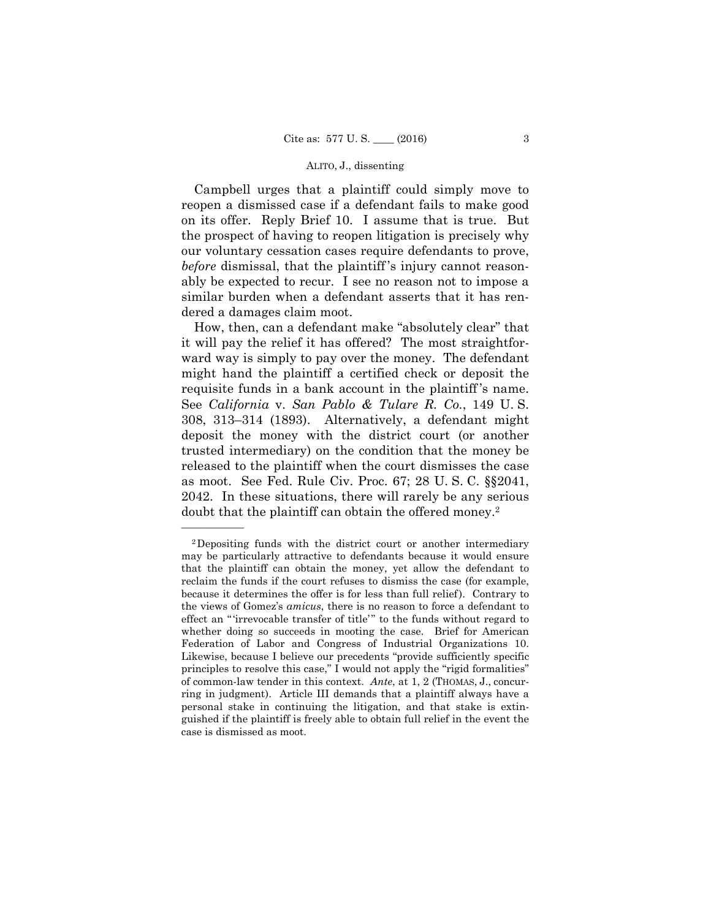Campbell urges that a plaintiff could simply move to reopen a dismissed case if a defendant fails to make good on its offer. Reply Brief 10. I assume that is true. But the prospect of having to reopen litigation is precisely why our voluntary cessation cases require defendants to prove, *before* dismissal, that the plaintiff 's injury cannot reasonably be expected to recur. I see no reason not to impose a similar burden when a defendant asserts that it has rendered a damages claim moot.

 requisite funds in a bank account in the plaintiff 's name. See *California* v. *San Pablo & Tulare R. Co.*, 149 U. S. How, then, can a defendant make "absolutely clear" that it will pay the relief it has offered? The most straightforward way is simply to pay over the money. The defendant might hand the plaintiff a certified check or deposit the 308, 313–314 (1893). Alternatively, a defendant might deposit the money with the district court (or another trusted intermediary) on the condition that the money be released to the plaintiff when the court dismisses the case as moot. See Fed. Rule Civ. Proc. 67; 28 U. S. C. §§2041, 2042. In these situations, there will rarely be any serious doubt that the plaintiff can obtain the offered money.2

 of common-law tender in this context. *Ante*, at 1, 2 (THOMAS, J., concur-2Depositing funds with the district court or another intermediary may be particularly attractive to defendants because it would ensure that the plaintiff can obtain the money, yet allow the defendant to reclaim the funds if the court refuses to dismiss the case (for example, because it determines the offer is for less than full relief). Contrary to the views of Gomez's *amicus*, there is no reason to force a defendant to effect an " 'irrevocable transfer of title' " to the funds without regard to whether doing so succeeds in mooting the case. Brief for American Federation of Labor and Congress of Industrial Organizations 10. Likewise, because I believe our precedents "provide sufficiently specific principles to resolve this case," I would not apply the "rigid formalities" ring in judgment). Article III demands that a plaintiff always have a personal stake in continuing the litigation, and that stake is extinguished if the plaintiff is freely able to obtain full relief in the event the case is dismissed as moot.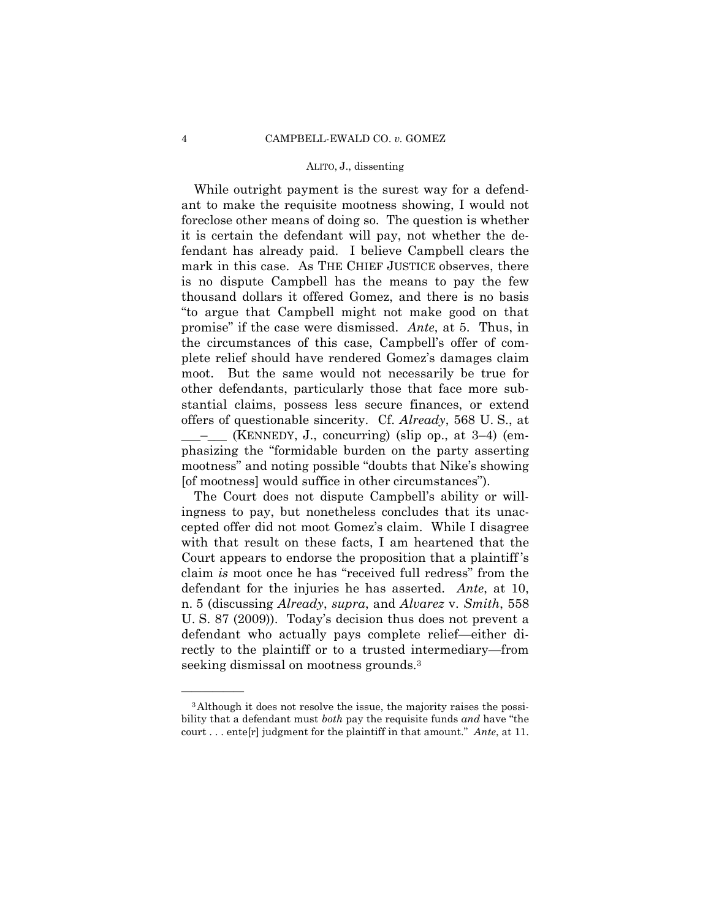While outright payment is the surest way for a defendant to make the requisite mootness showing, I would not foreclose other means of doing so. The question is whether it is certain the defendant will pay, not whether the defendant has already paid. I believe Campbell clears the mark in this case. As THE CHIEF JUSTICE observes, there is no dispute Campbell has the means to pay the few thousand dollars it offered Gomez, and there is no basis "to argue that Campbell might not make good on that promise" if the case were dismissed. *Ante*, at 5. Thus, in the circumstances of this case, Campbell's offer of complete relief should have rendered Gomez's damages claim moot. But the same would not necessarily be true for other defendants, particularly those that face more substantial claims, possess less secure finances, or extend offers of questionable sincerity. Cf. *Already*, 568 U. S., at \_\_\_–\_\_\_ (KENNEDY, J., concurring) (slip op., at 3–4) (emphasizing the "formidable burden on the party asserting mootness" and noting possible "doubts that Nike's showing [of mootness] would suffice in other circumstances").

The Court does not dispute Campbell's ability or willingness to pay, but nonetheless concludes that its unaccepted offer did not moot Gomez's claim. While I disagree with that result on these facts, I am heartened that the Court appears to endorse the proposition that a plaintiff 's claim *is* moot once he has "received full redress" from the defendant for the injuries he has asserted. *Ante*, at 10, n. 5 (discussing *Already*, *supra*, and *Alvarez* v. *Smith*, 558 U. S. 87 (2009)). Today's decision thus does not prevent a defendant who actually pays complete relief—either directly to the plaintiff or to a trusted intermediary—from seeking dismissal on mootness grounds.<sup>3</sup>

<sup>3</sup>Although it does not resolve the issue, the majority raises the possibility that a defendant must *both* pay the requisite funds *and* have "the court . . . ente[r] judgment for the plaintiff in that amount." *Ante*, at 11.